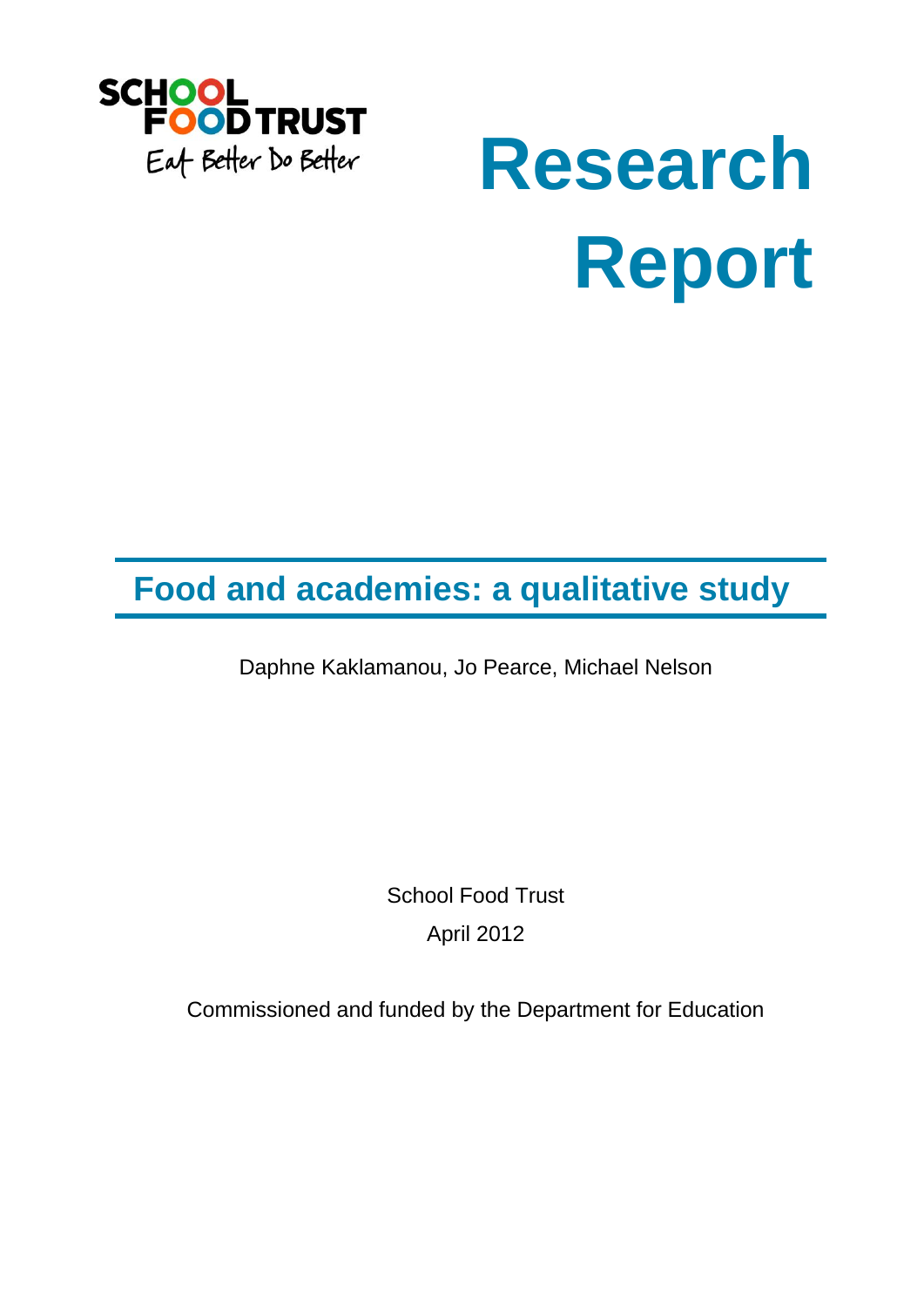

# **Research Report**

## **Food and academies: a qualitative study**

Daphne Kaklamanou, Jo Pearce, Michael Nelson

School Food Trust April 2012

Commissioned and funded by the Department for Education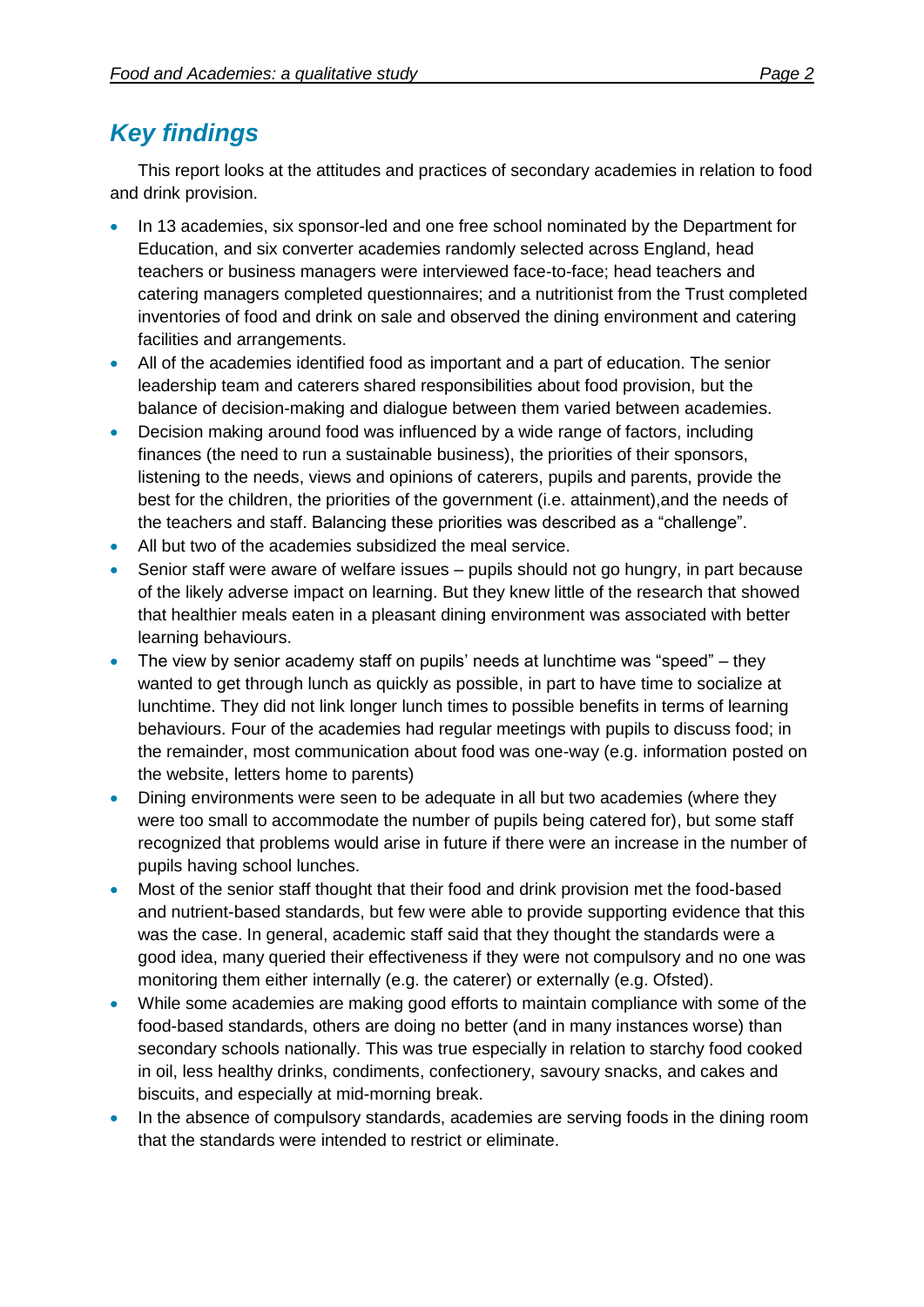## *Key findings*

This report looks at the attitudes and practices of secondary academies in relation to food and drink provision.

- In 13 academies, six sponsor-led and one free school nominated by the Department for Education, and six converter academies randomly selected across England, head teachers or business managers were interviewed face-to-face; head teachers and catering managers completed questionnaires; and a nutritionist from the Trust completed inventories of food and drink on sale and observed the dining environment and catering facilities and arrangements.
- All of the academies identified food as important and a part of education. The senior leadership team and caterers shared responsibilities about food provision, but the balance of decision-making and dialogue between them varied between academies.
- Decision making around food was influenced by a wide range of factors, including finances (the need to run a sustainable business), the priorities of their sponsors, listening to the needs, views and opinions of caterers, pupils and parents, provide the best for the children, the priorities of the government (i.e. attainment),and the needs of the teachers and staff. Balancing these priorities was described as a "challenge".
- All but two of the academies subsidized the meal service.
- Senior staff were aware of welfare issues pupils should not go hungry, in part because of the likely adverse impact on learning. But they knew little of the research that showed that healthier meals eaten in a pleasant dining environment was associated with better learning behaviours.
- The view by senior academy staff on pupils' needs at lunchtime was "speed" they wanted to get through lunch as quickly as possible, in part to have time to socialize at lunchtime. They did not link longer lunch times to possible benefits in terms of learning behaviours. Four of the academies had regular meetings with pupils to discuss food; in the remainder, most communication about food was one-way (e.g. information posted on the website, letters home to parents)
- Dining environments were seen to be adequate in all but two academies (where they were too small to accommodate the number of pupils being catered for), but some staff recognized that problems would arise in future if there were an increase in the number of pupils having school lunches.
- Most of the senior staff thought that their food and drink provision met the food-based and nutrient-based standards, but few were able to provide supporting evidence that this was the case. In general, academic staff said that they thought the standards were a good idea, many queried their effectiveness if they were not compulsory and no one was monitoring them either internally (e.g. the caterer) or externally (e.g. Ofsted).
- While some academies are making good efforts to maintain compliance with some of the food-based standards, others are doing no better (and in many instances worse) than secondary schools nationally. This was true especially in relation to starchy food cooked in oil, less healthy drinks, condiments, confectionery, savoury snacks, and cakes and biscuits, and especially at mid-morning break.
- In the absence of compulsory standards, academies are serving foods in the dining room that the standards were intended to restrict or eliminate.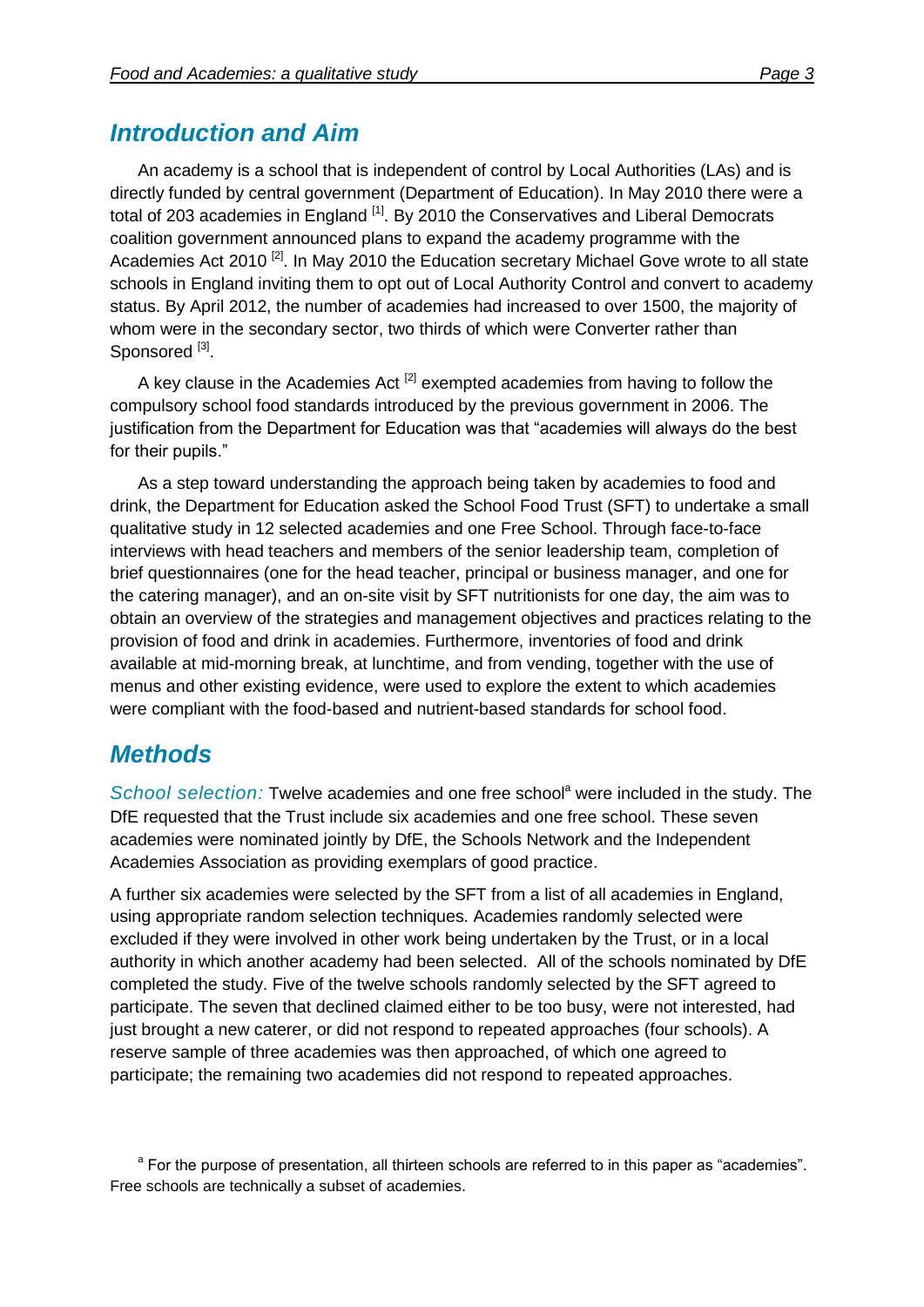## *Introduction and Aim*

An academy is a school that is independent of control by Local Authorities (LAs) and is directly funded by central government (Department of Education). In May 2010 there were a total of 203 academies in England <sup>[1]</sup>. By 2010 the Conservatives and Liberal Democrats coalition government announced plans to expand the academy programme with the Academies Act 2010<sup>[2]</sup>. In May 2010 the Education secretary Michael Gove wrote to all state schools in England inviting them to opt out of Local Authority Control and convert to academy status. By April 2012, the number of academies had increased to over 1500, the majority of whom were in the secondary sector, two thirds of which were Converter rather than Sponsored<sup>[3]</sup>.

A key clause in the Academies Act  $^{[2]}$  exempted academies from having to follow the compulsory school food standards introduced by the previous government in 2006. The justification from the Department for Education was that "academies will always do the best for their pupils."

As a step toward understanding the approach being taken by academies to food and drink, the Department for Education asked the School Food Trust (SFT) to undertake a small qualitative study in 12 selected academies and one Free School. Through face-to-face interviews with head teachers and members of the senior leadership team, completion of brief questionnaires (one for the head teacher, principal or business manager, and one for the catering manager), and an on-site visit by SFT nutritionists for one day, the aim was to obtain an overview of the strategies and management objectives and practices relating to the provision of food and drink in academies. Furthermore, inventories of food and drink available at mid-morning break, at lunchtime, and from vending, together with the use of menus and other existing evidence, were used to explore the extent to which academies were compliant with the food-based and nutrient-based standards for school food.

## *Methods*

*School selection:* Twelve academies and one free school<sup>a</sup> were included in the study. The DfE requested that the Trust include six academies and one free school. These seven academies were nominated jointly by DfE, the Schools Network and the Independent Academies Association as providing exemplars of good practice.

A further six academies were selected by the SFT from a list of all academies in England, using appropriate random selection techniques. Academies randomly selected were excluded if they were involved in other work being undertaken by the Trust, or in a local authority in which another academy had been selected. All of the schools nominated by DfE completed the study. Five of the twelve schools randomly selected by the SFT agreed to participate. The seven that declined claimed either to be too busy, were not interested, had just brought a new caterer, or did not respond to repeated approaches (four schools). A reserve sample of three academies was then approached, of which one agreed to participate; the remaining two academies did not respond to repeated approaches.

<sup>&</sup>lt;sup>a</sup> For the purpose of presentation, all thirteen schools are referred to in this paper as "academies". Free schools are technically a subset of academies.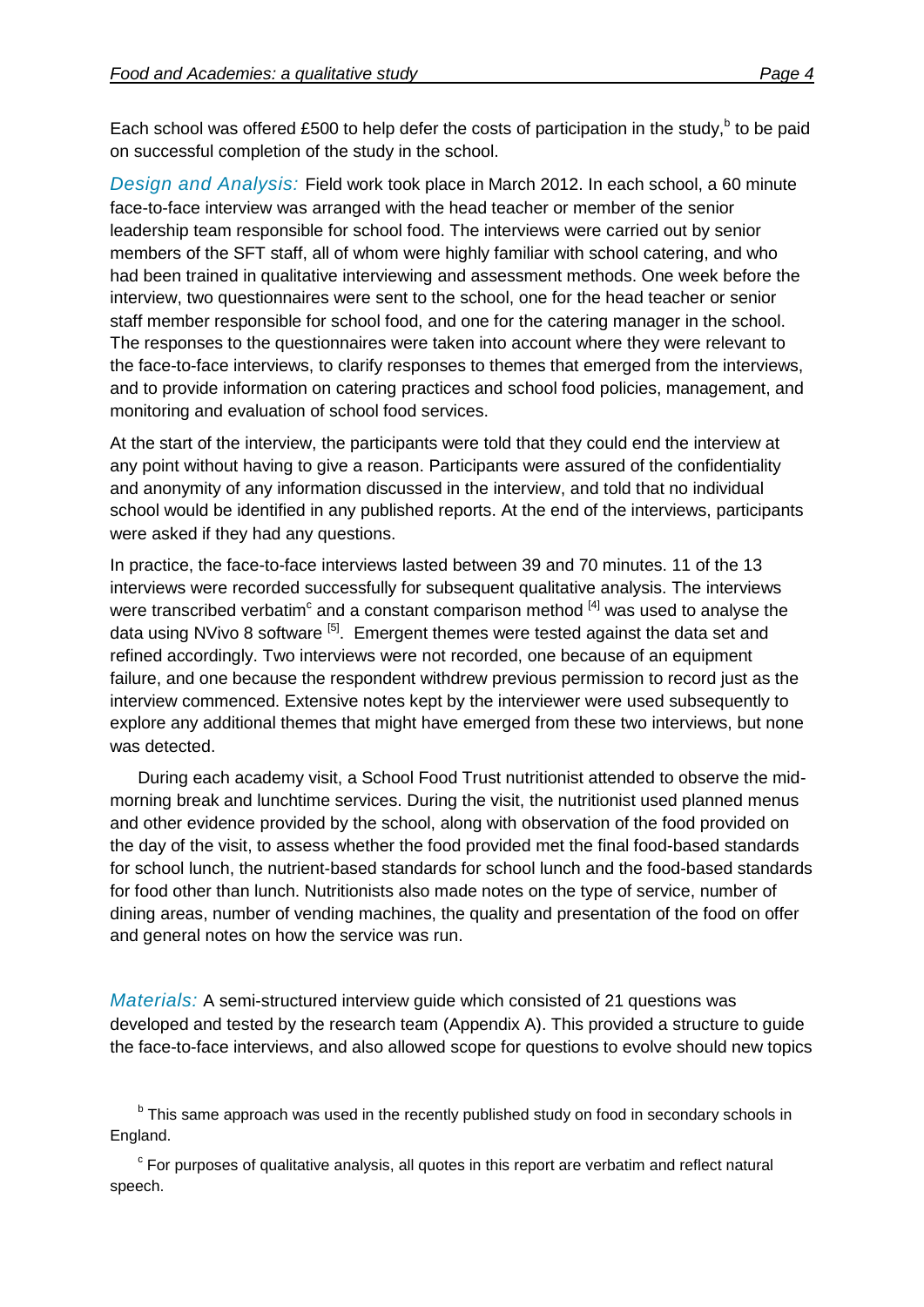Each school was offered £500 to help defer the costs of participation in the study,<sup>b</sup> to be paid on successful completion of the study in the school.

*Design and Analysis:* Field work took place in March 2012. In each school, a 60 minute face-to-face interview was arranged with the head teacher or member of the senior leadership team responsible for school food. The interviews were carried out by senior members of the SFT staff, all of whom were highly familiar with school catering, and who had been trained in qualitative interviewing and assessment methods. One week before the interview, two questionnaires were sent to the school, one for the head teacher or senior staff member responsible for school food, and one for the catering manager in the school. The responses to the questionnaires were taken into account where they were relevant to the face-to-face interviews, to clarify responses to themes that emerged from the interviews, and to provide information on catering practices and school food policies, management, and monitoring and evaluation of school food services.

At the start of the interview, the participants were told that they could end the interview at any point without having to give a reason. Participants were assured of the confidentiality and anonymity of any information discussed in the interview, and told that no individual school would be identified in any published reports. At the end of the interviews, participants were asked if they had any questions.

In practice, the face-to-face interviews lasted between 39 and 70 minutes. 11 of the 13 interviews were recorded successfully for subsequent qualitative analysis. The interviews were transcribed verbatim<sup>c</sup> and a constant comparison method  $^{[4]}$  was used to analyse the data using NVivo 8 software <sup>[5]</sup>. Emergent themes were tested against the data set and refined accordingly. Two interviews were not recorded, one because of an equipment failure, and one because the respondent withdrew previous permission to record just as the interview commenced. Extensive notes kept by the interviewer were used subsequently to explore any additional themes that might have emerged from these two interviews, but none was detected.

During each academy visit, a School Food Trust nutritionist attended to observe the midmorning break and lunchtime services. During the visit, the nutritionist used planned menus and other evidence provided by the school, along with observation of the food provided on the day of the visit, to assess whether the food provided met the final food-based standards for school lunch, the nutrient-based standards for school lunch and the food-based standards for food other than lunch. Nutritionists also made notes on the type of service, number of dining areas, number of vending machines, the quality and presentation of the food on offer and general notes on how the service was run.

*Materials:* A semi-structured interview guide which consisted of 21 questions was developed and tested by the research team (Appendix A). This provided a structure to guide the face-to-face interviews, and also allowed scope for questions to evolve should new topics

<sup>b</sup> This same approach was used in the recently published study on food in secondary schools in England.

 $\textdegree$  For purposes of qualitative analysis, all quotes in this report are verbatim and reflect natural speech.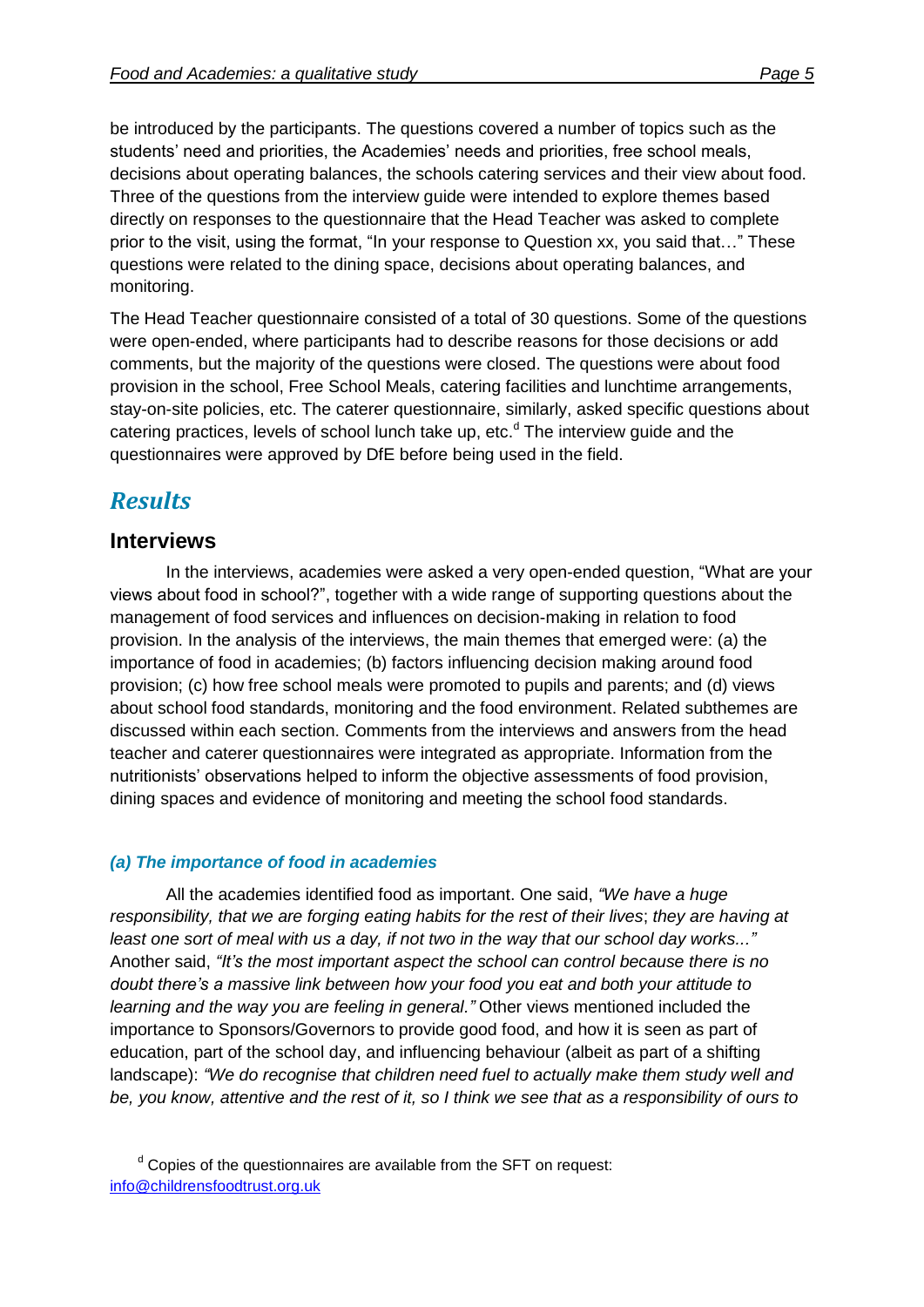be introduced by the participants. The questions covered a number of topics such as the students' need and priorities, the Academies' needs and priorities, free school meals, decisions about operating balances, the schools catering services and their view about food. Three of the questions from the interview guide were intended to explore themes based directly on responses to the questionnaire that the Head Teacher was asked to complete prior to the visit, using the format, "In your response to Question xx, you said that…" These questions were related to the dining space, decisions about operating balances, and monitoring.

The Head Teacher questionnaire consisted of a total of 30 questions. Some of the questions were open-ended, where participants had to describe reasons for those decisions or add comments, but the majority of the questions were closed. The questions were about food provision in the school, Free School Meals, catering facilities and lunchtime arrangements, stay-on-site policies, etc. The caterer questionnaire, similarly, asked specific questions about catering practices, levels of school lunch take up, etc.<sup>d</sup> The interview quide and the questionnaires were approved by DfE before being used in the field.

## *Results*

#### **Interviews**

In the interviews, academies were asked a very open-ended question, "What are your views about food in school?", together with a wide range of supporting questions about the management of food services and influences on decision-making in relation to food provision. In the analysis of the interviews, the main themes that emerged were: (a) the importance of food in academies; (b) factors influencing decision making around food provision; (c) how free school meals were promoted to pupils and parents; and (d) views about school food standards, monitoring and the food environment. Related subthemes are discussed within each section. Comments from the interviews and answers from the head teacher and caterer questionnaires were integrated as appropriate. Information from the nutritionists' observations helped to inform the objective assessments of food provision, dining spaces and evidence of monitoring and meeting the school food standards.

#### *(a) The importance of food in academies*

All the academies identified food as important. One said, *"We have a huge responsibility, that we are forging eating habits for the rest of their lives*; *they are having at least one sort of meal with us a day, if not two in the way that our school day works..."* Another said, *"It's the most important aspect the school can control because there is no doubt there's a massive link between how your food you eat and both your attitude to learning and the way you are feeling in general."* Other views mentioned included the importance to Sponsors/Governors to provide good food, and how it is seen as part of education, part of the school day, and influencing behaviour (albeit as part of a shifting landscape): *"We do recognise that children need fuel to actually make them study well and be, you know, attentive and the rest of it, so I think we see that as a responsibility of ours to* 

 $d$  Copies of the questionnaires are available from the SFT on request: [info@childrensfoodtrust.org.uk](mailto:info@childrensfoodtrust.org.uk)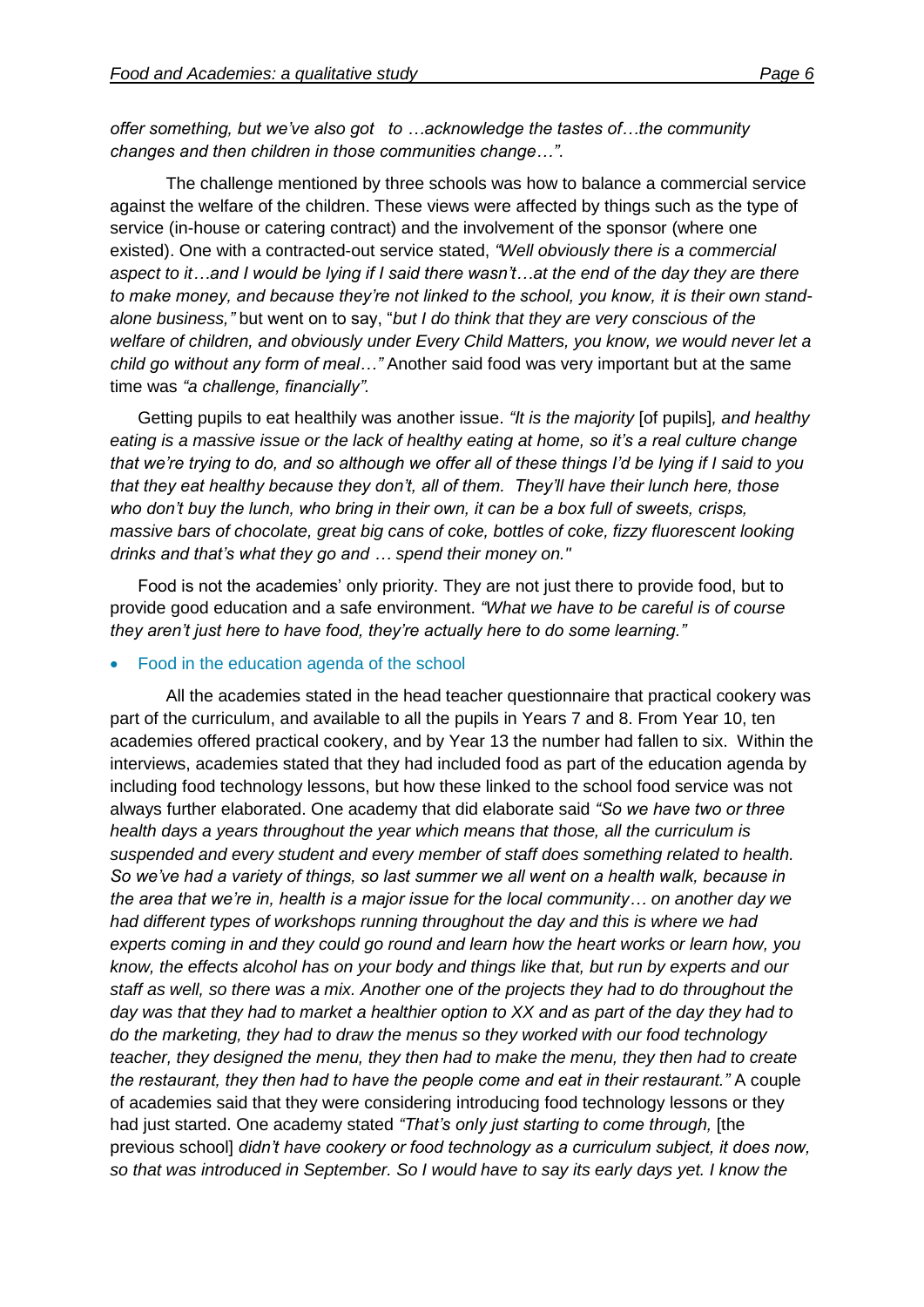*offer something, but we've also got to …acknowledge the tastes of…the community changes and then children in those communities change…"*.

The challenge mentioned by three schools was how to balance a commercial service against the welfare of the children. These views were affected by things such as the type of service (in-house or catering contract) and the involvement of the sponsor (where one existed). One with a contracted-out service stated, *"Well obviously there is a commercial aspect to it…and I would be lying if I said there wasn't…at the end of the day they are there to make money, and because they're not linked to the school, you know, it is their own standalone business,"* but went on to say, "*but I do think that they are very conscious of the welfare of children, and obviously under Every Child Matters, you know, we would never let a child go without any form of meal…"* Another said food was very important but at the same time was *"a challenge, financially".* 

Getting pupils to eat healthily was another issue. *"It is the majority* [of pupils]*, and healthy eating is a massive issue or the lack of healthy eating at home, so it's a real culture change that we're trying to do, and so although we offer all of these things I'd be lying if I said to you that they eat healthy because they don't, all of them. They'll have their lunch here, those who don't buy the lunch, who bring in their own, it can be a box full of sweets, crisps, massive bars of chocolate, great big cans of coke, bottles of coke, fizzy fluorescent looking drinks and that's what they go and … spend their money on."*

Food is not the academies' only priority. They are not just there to provide food, but to provide good education and a safe environment. *"What we have to be careful is of course they aren't just here to have food, they're actually here to do some learning."*

#### Food in the education agenda of the school

All the academies stated in the head teacher questionnaire that practical cookery was part of the curriculum, and available to all the pupils in Years 7 and 8. From Year 10, ten academies offered practical cookery, and by Year 13 the number had fallen to six. Within the interviews, academies stated that they had included food as part of the education agenda by including food technology lessons, but how these linked to the school food service was not always further elaborated. One academy that did elaborate said *"So we have two or three health days a years throughout the year which means that those, all the curriculum is suspended and every student and every member of staff does something related to health. So we've had a variety of things, so last summer we all went on a health walk, because in the area that we're in, health is a major issue for the local community… on another day we had different types of workshops running throughout the day and this is where we had experts coming in and they could go round and learn how the heart works or learn how, you know, the effects alcohol has on your body and things like that, but run by experts and our staff as well, so there was a mix. Another one of the projects they had to do throughout the day was that they had to market a healthier option to XX and as part of the day they had to do the marketing, they had to draw the menus so they worked with our food technology teacher, they designed the menu, they then had to make the menu, they then had to create the restaurant, they then had to have the people come and eat in their restaurant."* A couple of academies said that they were considering introducing food technology lessons or they had just started. One academy stated *"That's only just starting to come through,* [the previous school] *didn't have cookery or food technology as a curriculum subject, it does now, so that was introduced in September. So I would have to say its early days yet. I know the*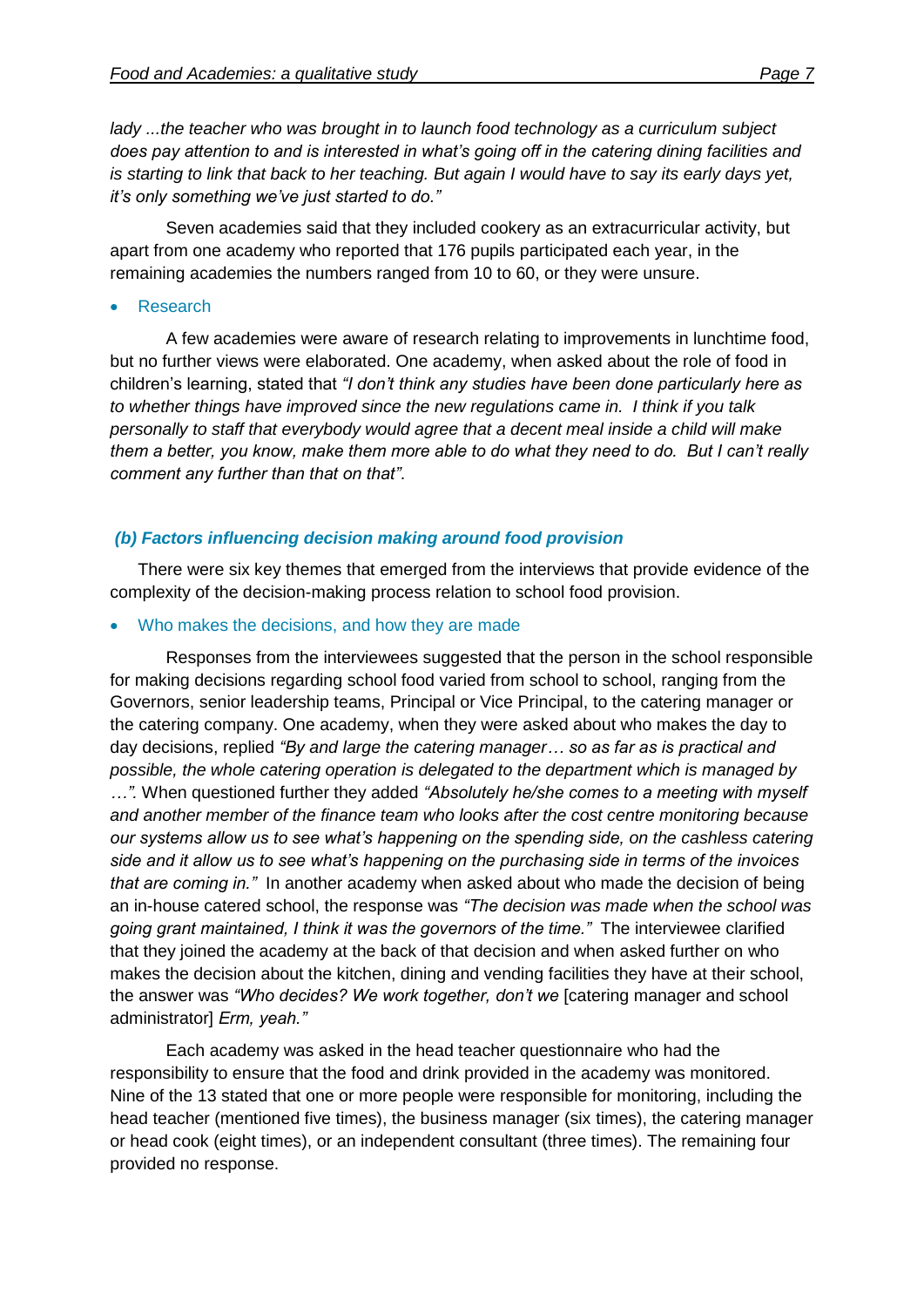*lady ...the teacher who was brought in to launch food technology as a curriculum subject does pay attention to and is interested in what's going off in the catering dining facilities and is starting to link that back to her teaching. But again I would have to say its early days yet, it's only something we've just started to do."*

Seven academies said that they included cookery as an extracurricular activity, but apart from one academy who reported that 176 pupils participated each year, in the remaining academies the numbers ranged from 10 to 60, or they were unsure.

Research

A few academies were aware of research relating to improvements in lunchtime food, but no further views were elaborated. One academy, when asked about the role of food in children's learning, stated that *"I don't think any studies have been done particularly here as to whether things have improved since the new regulations came in. I think if you talk personally to staff that everybody would agree that a decent meal inside a child will make them a better, you know, make them more able to do what they need to do. But I can't really comment any further than that on that"*.

#### *(b) Factors influencing decision making around food provision*

There were six key themes that emerged from the interviews that provide evidence of the complexity of the decision-making process relation to school food provision.

#### Who makes the decisions, and how they are made

Responses from the interviewees suggested that the person in the school responsible for making decisions regarding school food varied from school to school, ranging from the Governors, senior leadership teams, Principal or Vice Principal, to the catering manager or the catering company. One academy, when they were asked about who makes the day to day decisions, replied *"By and large the catering manager… so as far as is practical and possible, the whole catering operation is delegated to the department which is managed by …".* When questioned further they added *"Absolutely he/she comes to a meeting with myself and another member of the finance team who looks after the cost centre monitoring because our systems allow us to see what's happening on the spending side, on the cashless catering side and it allow us to see what's happening on the purchasing side in terms of the invoices that are coming in."* In another academy when asked about who made the decision of being an in-house catered school, the response was *"The decision was made when the school was going grant maintained, I think it was the governors of the time."* The interviewee clarified that they joined the academy at the back of that decision and when asked further on who makes the decision about the kitchen, dining and vending facilities they have at their school, the answer was *"Who decides? We work together, don't we* [catering manager and school administrator] *Erm, yeah."*

Each academy was asked in the head teacher questionnaire who had the responsibility to ensure that the food and drink provided in the academy was monitored. Nine of the 13 stated that one or more people were responsible for monitoring, including the head teacher (mentioned five times), the business manager (six times), the catering manager or head cook (eight times), or an independent consultant (three times). The remaining four provided no response.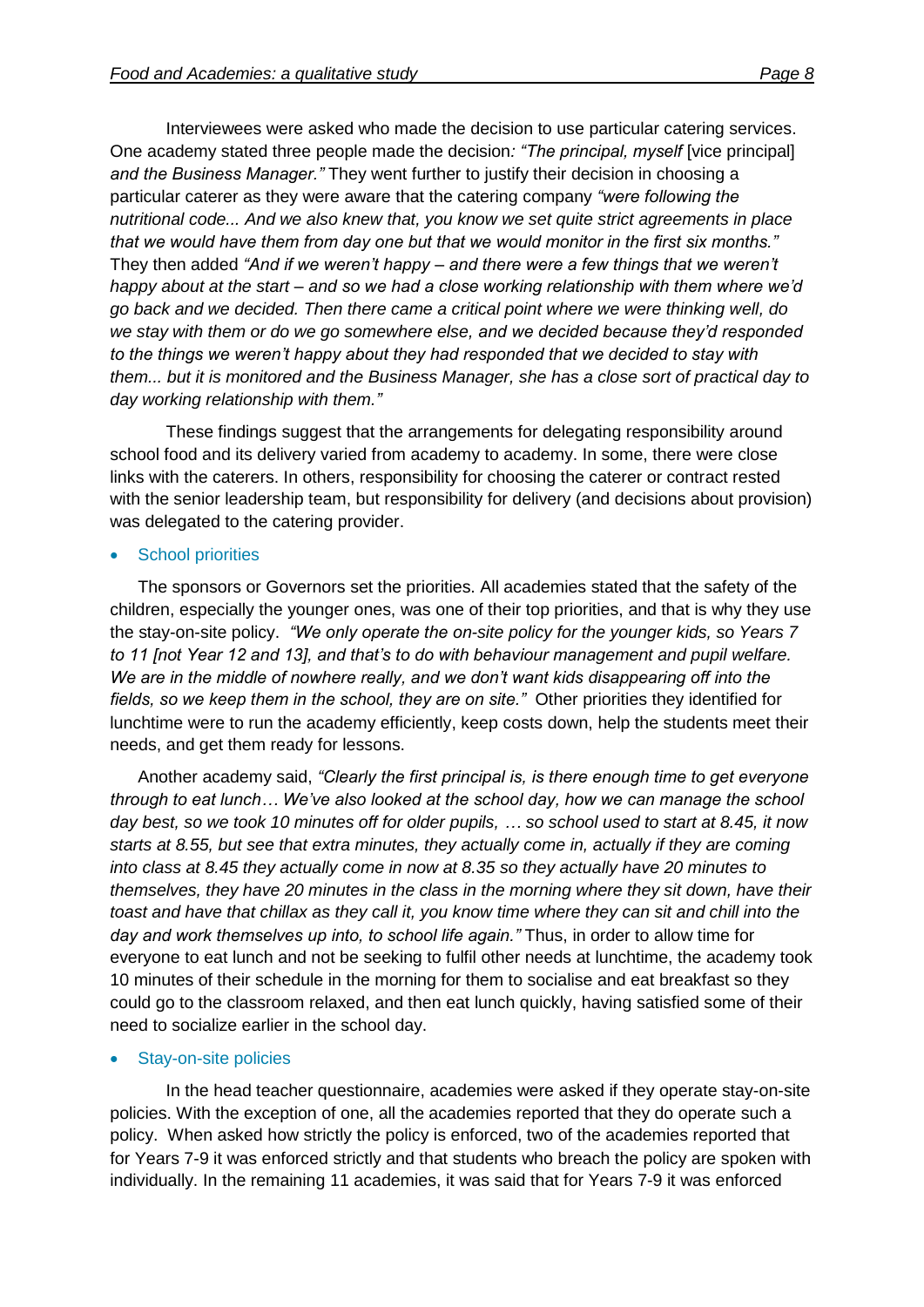Interviewees were asked who made the decision to use particular catering services. One academy stated three people made the decision*: "The principal, myself* [vice principal] *and the Business Manager."* They went further to justify their decision in choosing a particular caterer as they were aware that the catering company *"were following the nutritional code... And we also knew that, you know we set quite strict agreements in place that we would have them from day one but that we would monitor in the first six months."* They then added *"And if we weren't happy – and there were a few things that we weren't happy about at the start – and so we had a close working relationship with them where we'd go back and we decided. Then there came a critical point where we were thinking well, do we stay with them or do we go somewhere else, and we decided because they'd responded to the things we weren't happy about they had responded that we decided to stay with them... but it is monitored and the Business Manager, she has a close sort of practical day to day working relationship with them."*

These findings suggest that the arrangements for delegating responsibility around school food and its delivery varied from academy to academy. In some, there were close links with the caterers. In others, responsibility for choosing the caterer or contract rested with the senior leadership team, but responsibility for delivery (and decisions about provision) was delegated to the catering provider.

#### School priorities

The sponsors or Governors set the priorities. All academies stated that the safety of the children, especially the younger ones, was one of their top priorities, and that is why they use the stay-on-site policy. *"We only operate the on-site policy for the younger kids, so Years 7 to 11 [not Year 12 and 13], and that's to do with behaviour management and pupil welfare. We are in the middle of nowhere really, and we don't want kids disappearing off into the fields, so we keep them in the school, they are on site."* Other priorities they identified for lunchtime were to run the academy efficiently, keep costs down, help the students meet their needs, and get them ready for lessons.

Another academy said, *"Clearly the first principal is, is there enough time to get everyone through to eat lunch… We've also looked at the school day, how we can manage the school day best, so we took 10 minutes off for older pupils, … so school used to start at 8.45, it now starts at 8.55, but see that extra minutes, they actually come in, actually if they are coming into class at 8.45 they actually come in now at 8.35 so they actually have 20 minutes to themselves, they have 20 minutes in the class in the morning where they sit down, have their toast and have that chillax as they call it, you know time where they can sit and chill into the day and work themselves up into, to school life again."* Thus, in order to allow time for everyone to eat lunch and not be seeking to fulfil other needs at lunchtime, the academy took 10 minutes of their schedule in the morning for them to socialise and eat breakfast so they could go to the classroom relaxed, and then eat lunch quickly, having satisfied some of their need to socialize earlier in the school day.

#### Stay-on-site policies

In the head teacher questionnaire, academies were asked if they operate stay-on-site policies. With the exception of one, all the academies reported that they do operate such a policy. When asked how strictly the policy is enforced, two of the academies reported that for Years 7-9 it was enforced strictly and that students who breach the policy are spoken with individually. In the remaining 11 academies, it was said that for Years 7-9 it was enforced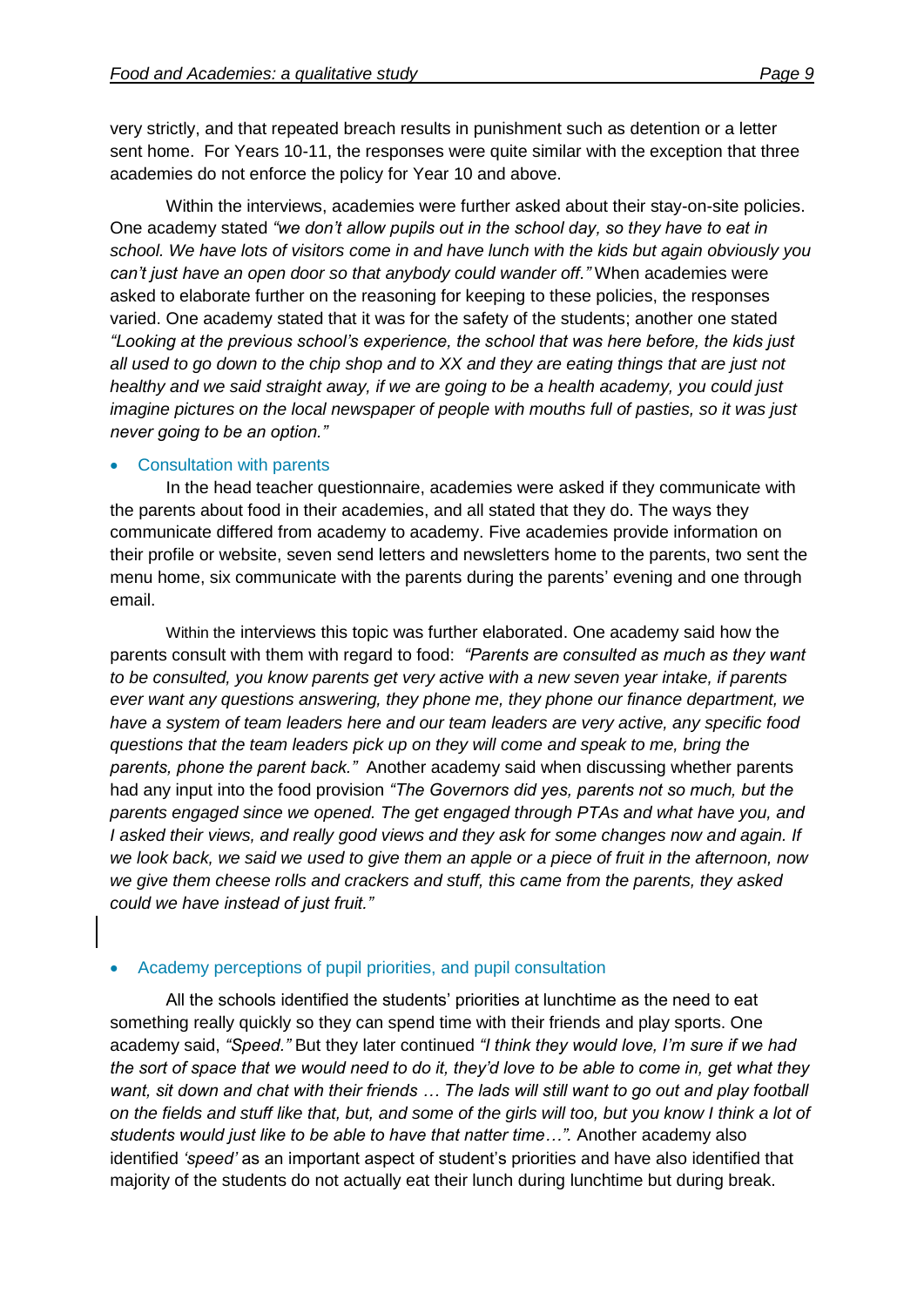very strictly, and that repeated breach results in punishment such as detention or a letter sent home. For Years 10-11, the responses were quite similar with the exception that three academies do not enforce the policy for Year 10 and above.

Within the interviews, academies were further asked about their stay-on-site policies. One academy stated *"we don't allow pupils out in the school day, so they have to eat in school. We have lots of visitors come in and have lunch with the kids but again obviously you can't just have an open door so that anybody could wander off."* When academies were asked to elaborate further on the reasoning for keeping to these policies, the responses varied. One academy stated that it was for the safety of the students; another one stated *"Looking at the previous school's experience, the school that was here before, the kids just all used to go down to the chip shop and to XX and they are eating things that are just not healthy and we said straight away, if we are going to be a health academy, you could just imagine pictures on the local newspaper of people with mouths full of pasties, so it was just never going to be an option."*

#### Consultation with parents

In the head teacher questionnaire, academies were asked if they communicate with the parents about food in their academies, and all stated that they do. The ways they communicate differed from academy to academy. Five academies provide information on their profile or website, seven send letters and newsletters home to the parents, two sent the menu home, six communicate with the parents during the parents' evening and one through email.

Within the interviews this topic was further elaborated. One academy said how the parents consult with them with regard to food: *"Parents are consulted as much as they want to be consulted, you know parents get very active with a new seven year intake, if parents ever want any questions answering, they phone me, they phone our finance department, we have a system of team leaders here and our team leaders are very active, any specific food questions that the team leaders pick up on they will come and speak to me, bring the parents, phone the parent back."* Another academy said when discussing whether parents had any input into the food provision *"The Governors did yes, parents not so much, but the parents engaged since we opened. The get engaged through PTAs and what have you, and I asked their views, and really good views and they ask for some changes now and again. If we look back, we said we used to give them an apple or a piece of fruit in the afternoon, now we give them cheese rolls and crackers and stuff, this came from the parents, they asked could we have instead of just fruit."* 

#### Academy perceptions of pupil priorities, and pupil consultation

All the schools identified the students' priorities at lunchtime as the need to eat something really quickly so they can spend time with their friends and play sports. One academy said, *"Speed."* But they later continued *"I think they would love, I'm sure if we had the sort of space that we would need to do it, they'd love to be able to come in, get what they want, sit down and chat with their friends … The lads will still want to go out and play football on the fields and stuff like that, but, and some of the girls will too, but you know I think a lot of students would just like to be able to have that natter time…".* Another academy also identified *'speed'* as an important aspect of student's priorities and have also identified that majority of the students do not actually eat their lunch during lunchtime but during break.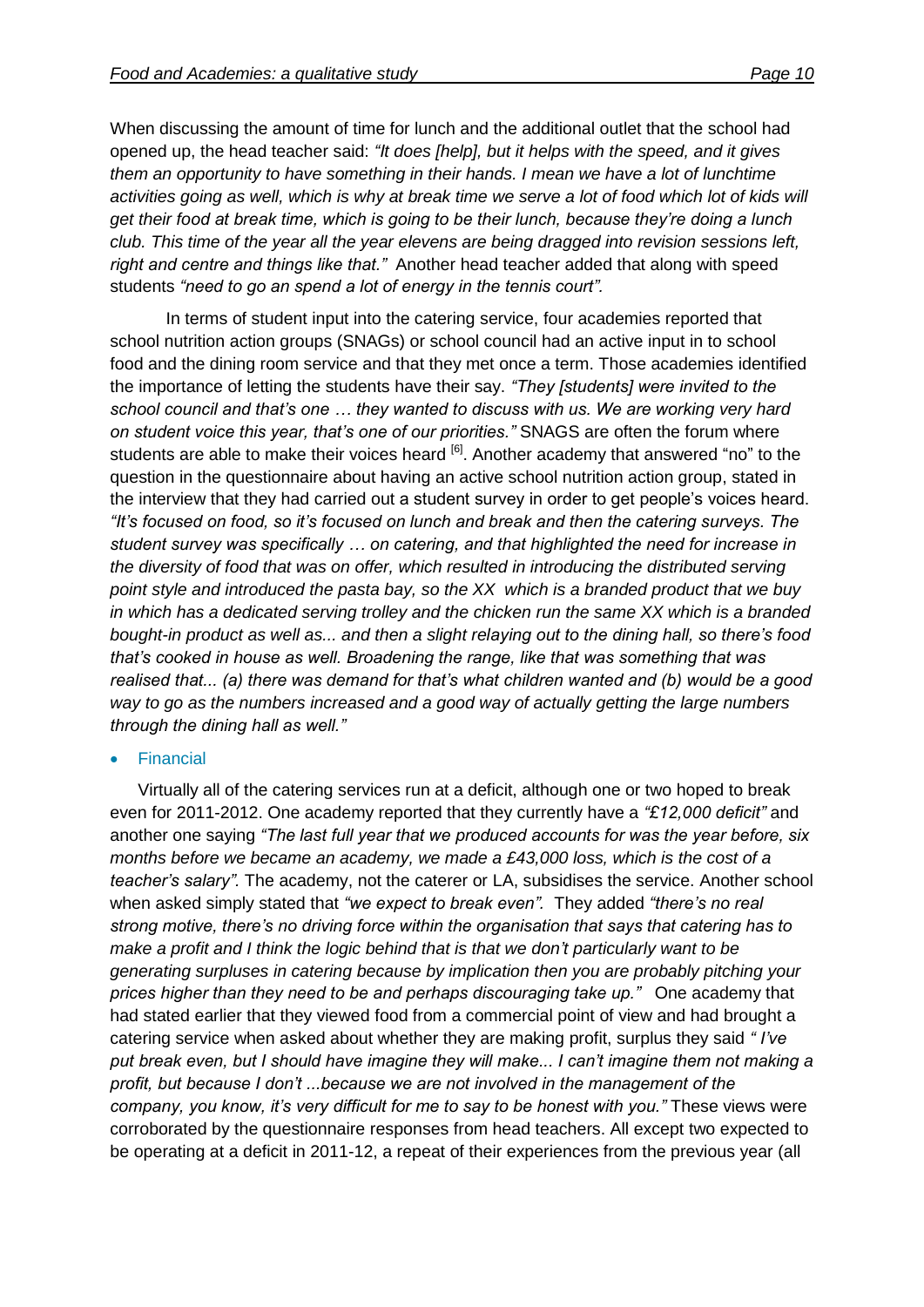When discussing the amount of time for lunch and the additional outlet that the school had opened up, the head teacher said: *"It does [help], but it helps with the speed, and it gives them an opportunity to have something in their hands. I mean we have a lot of lunchtime activities going as well, which is why at break time we serve a lot of food which lot of kids will get their food at break time, which is going to be their lunch, because they're doing a lunch club. This time of the year all the year elevens are being dragged into revision sessions left, right and centre and things like that."* Another head teacher added that along with speed students *"need to go an spend a lot of energy in the tennis court".*

In terms of student input into the catering service, four academies reported that school nutrition action groups (SNAGs) or school council had an active input in to school food and the dining room service and that they met once a term. Those academies identified the importance of letting the students have their say. *"They [students] were invited to the school council and that's one … they wanted to discuss with us. We are working very hard on student voice this year, that's one of our priorities."* SNAGS are often the forum where students are able to make their voices heard <sup>[6]</sup>. Another academy that answered "no" to the question in the questionnaire about having an active school nutrition action group, stated in the interview that they had carried out a student survey in order to get people's voices heard. *"It's focused on food, so it's focused on lunch and break and then the catering surveys. The student survey was specifically … on catering, and that highlighted the need for increase in the diversity of food that was on offer, which resulted in introducing the distributed serving point style and introduced the pasta bay, so the XX which is a branded product that we buy in which has a dedicated serving trolley and the chicken run the same XX which is a branded bought-in product as well as... and then a slight relaying out to the dining hall, so there's food that's cooked in house as well. Broadening the range, like that was something that was realised that... (a) there was demand for that's what children wanted and (b) would be a good way to go as the numbers increased and a good way of actually getting the large numbers through the dining hall as well."*

#### **•** Financial

Virtually all of the catering services run at a deficit, although one or two hoped to break even for 2011-2012. One academy reported that they currently have a *"£12,000 deficit"* and another one saying *"The last full year that we produced accounts for was the year before, six months before we became an academy, we made a £43,000 loss, which is the cost of a teacher's salary".* The academy, not the caterer or LA, subsidises the service. Another school when asked simply stated that *"we expect to break even".* They added *"there's no real strong motive, there's no driving force within the organisation that says that catering has to make a profit and I think the logic behind that is that we don't particularly want to be generating surpluses in catering because by implication then you are probably pitching your prices higher than they need to be and perhaps discouraging take up."* One academy that had stated earlier that they viewed food from a commercial point of view and had brought a catering service when asked about whether they are making profit, surplus they said *" I've put break even, but I should have imagine they will make... I can't imagine them not making a profit, but because I don't ...because we are not involved in the management of the company, you know, it's very difficult for me to say to be honest with you."* These views were corroborated by the questionnaire responses from head teachers. All except two expected to be operating at a deficit in 2011-12, a repeat of their experiences from the previous year (all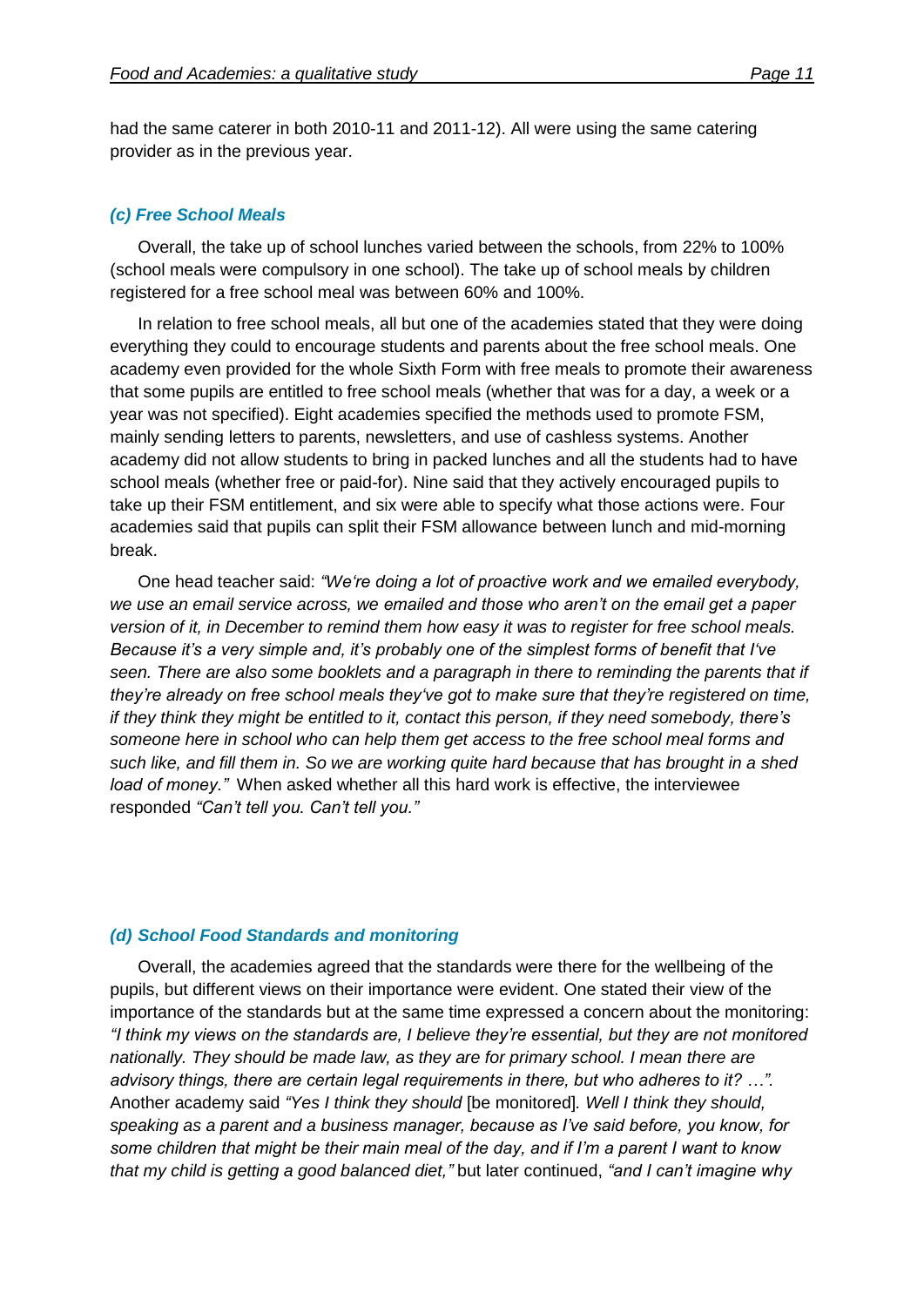had the same caterer in both 2010-11 and 2011-12). All were using the same catering provider as in the previous year.

#### *(c) Free School Meals*

Overall, the take up of school lunches varied between the schools, from 22% to 100% (school meals were compulsory in one school). The take up of school meals by children registered for a free school meal was between 60% and 100%.

In relation to free school meals, all but one of the academies stated that they were doing everything they could to encourage students and parents about the free school meals. One academy even provided for the whole Sixth Form with free meals to promote their awareness that some pupils are entitled to free school meals (whether that was for a day, a week or a year was not specified). Eight academies specified the methods used to promote FSM, mainly sending letters to parents, newsletters, and use of cashless systems. Another academy did not allow students to bring in packed lunches and all the students had to have school meals (whether free or paid-for). Nine said that they actively encouraged pupils to take up their FSM entitlement, and six were able to specify what those actions were. Four academies said that pupils can split their FSM allowance between lunch and mid-morning break.

One head teacher said: *"We're doing a lot of proactive work and we emailed everybody, we use an email service across, we emailed and those who aren't on the email get a paper version of it, in December to remind them how easy it was to register for free school meals. Because it's a very simple and, it's probably one of the simplest forms of benefit that I've seen. There are also some booklets and a paragraph in there to reminding the parents that if they're already on free school meals they've got to make sure that they're registered on time, if they think they might be entitled to it, contact this person, if they need somebody, there's someone here in school who can help them get access to the free school meal forms and such like, and fill them in. So we are working quite hard because that has brought in a shed load of money."* When asked whether all this hard work is effective, the interviewee responded *"Can't tell you. Can't tell you."*

#### *(d) School Food Standards and monitoring*

Overall, the academies agreed that the standards were there for the wellbeing of the pupils, but different views on their importance were evident. One stated their view of the importance of the standards but at the same time expressed a concern about the monitoring: *"I think my views on the standards are, I believe they're essential, but they are not monitored nationally. They should be made law, as they are for primary school. I mean there are advisory things, there are certain legal requirements in there, but who adheres to it? …".*  Another academy said *"Yes I think they should* [be monitored]*. Well I think they should, speaking as a parent and a business manager, because as I've said before, you know, for some children that might be their main meal of the day, and if I'm a parent I want to know that my child is getting a good balanced diet,"* but later continued, *"and I can't imagine why*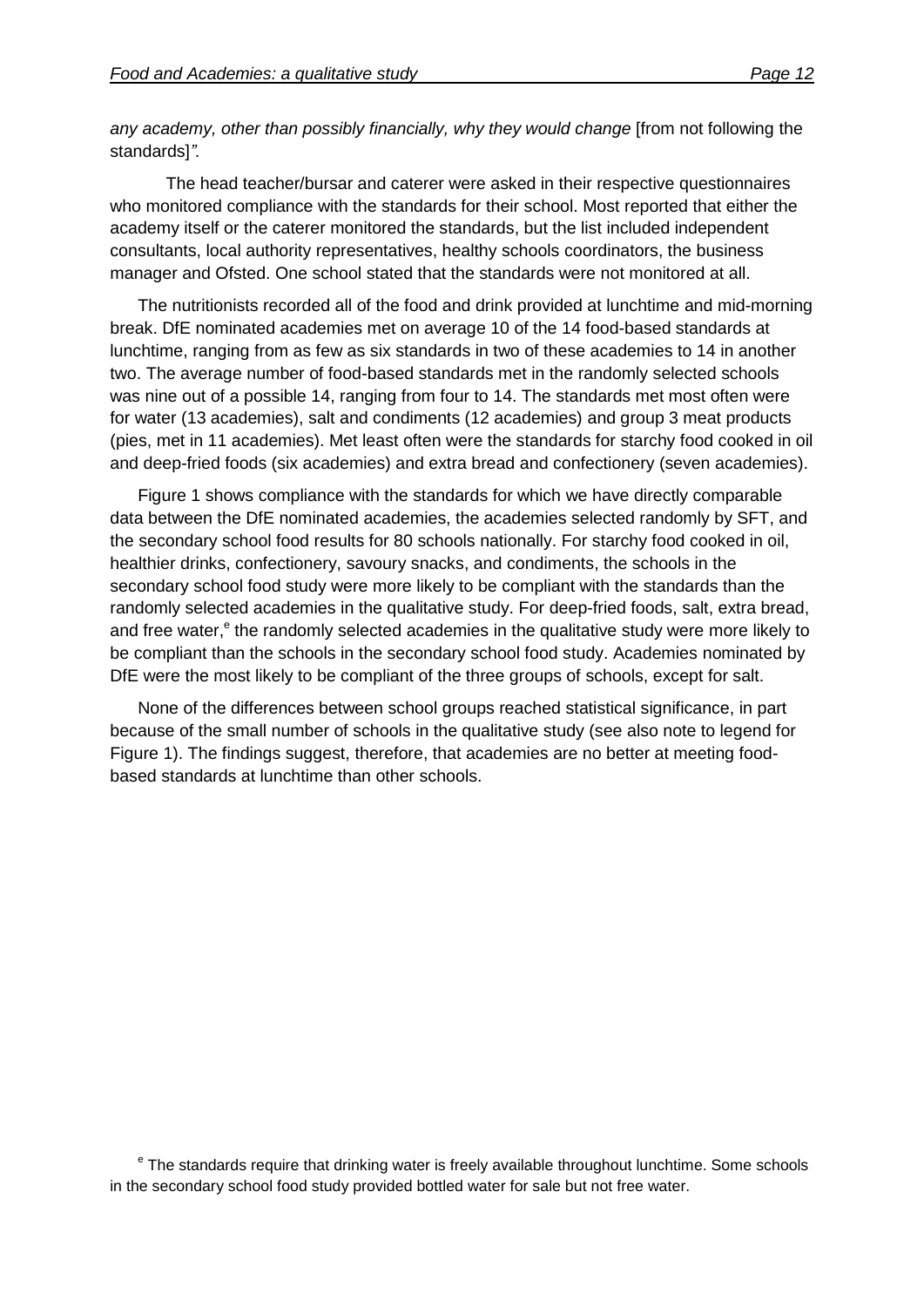*any academy, other than possibly financially, why they would change* [from not following the standards]*".*

The head teacher/bursar and caterer were asked in their respective questionnaires who monitored compliance with the standards for their school. Most reported that either the academy itself or the caterer monitored the standards, but the list included independent consultants, local authority representatives, healthy schools coordinators, the business manager and Ofsted. One school stated that the standards were not monitored at all.

The nutritionists recorded all of the food and drink provided at lunchtime and mid-morning break. DfE nominated academies met on average 10 of the 14 food-based standards at lunchtime, ranging from as few as six standards in two of these academies to 14 in another two. The average number of food-based standards met in the randomly selected schools was nine out of a possible 14, ranging from four to 14. The standards met most often were for water (13 academies), salt and condiments (12 academies) and group 3 meat products (pies, met in 11 academies). Met least often were the standards for starchy food cooked in oil and deep-fried foods (six academies) and extra bread and confectionery (seven academies).

Figure 1 shows compliance with the standards for which we have directly comparable data between the DfE nominated academies, the academies selected randomly by SFT, and the secondary school food results for 80 schools nationally. For starchy food cooked in oil, healthier drinks, confectionery, savoury snacks, and condiments, the schools in the secondary school food study were more likely to be compliant with the standards than the randomly selected academies in the qualitative study. For deep-fried foods, salt, extra bread, and free water,<sup>e</sup> the randomly selected academies in the qualitative study were more likely to be compliant than the schools in the secondary school food study. Academies nominated by DfE were the most likely to be compliant of the three groups of schools, except for salt.

None of the differences between school groups reached statistical significance, in part because of the small number of schools in the qualitative study (see also note to legend for Figure 1). The findings suggest, therefore, that academies are no better at meeting foodbased standards at lunchtime than other schools.

<sup>e</sup> The standards require that drinking water is freely available throughout lunchtime. Some schools in the secondary school food study provided bottled water for sale but not free water.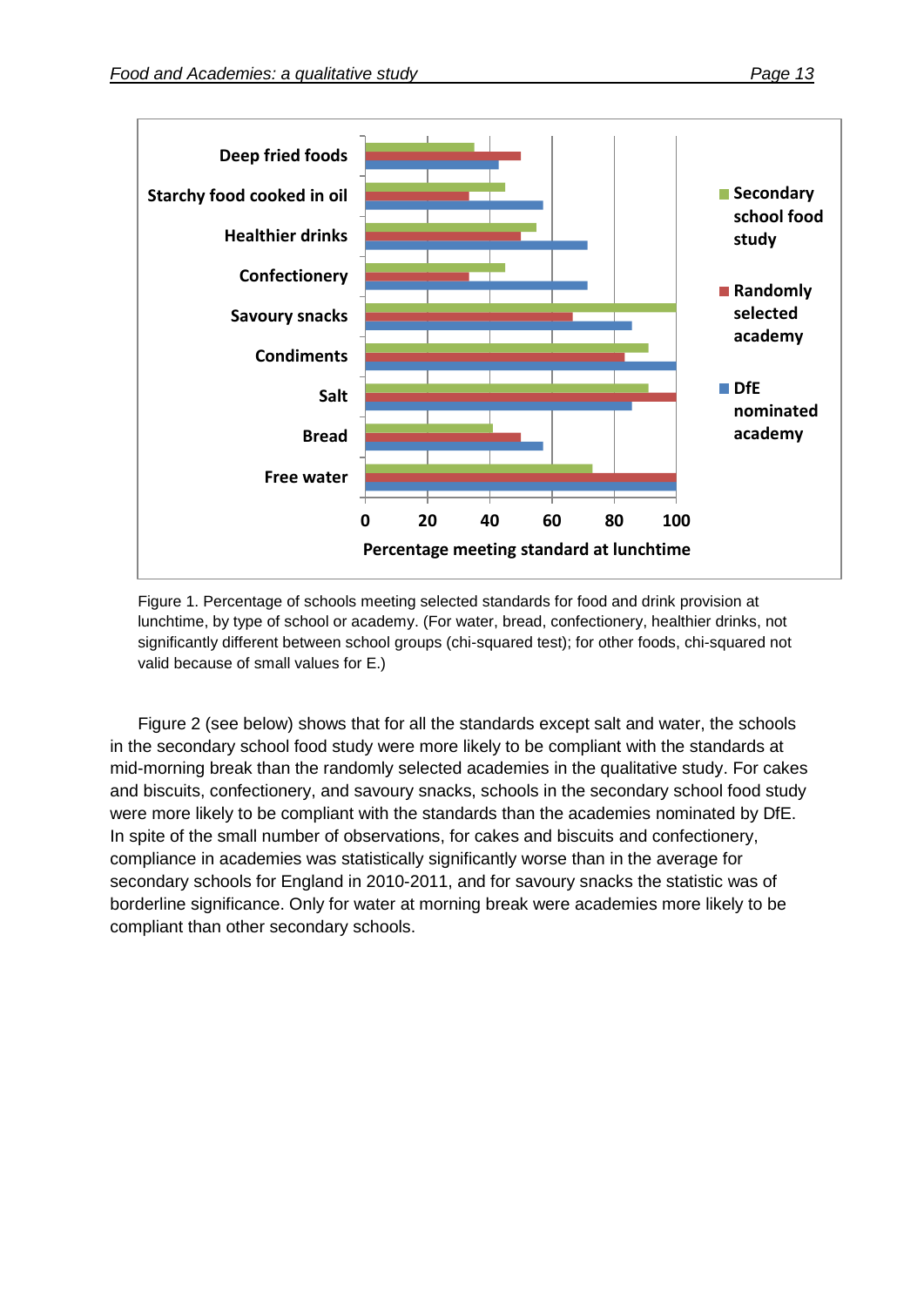

Figure 1. Percentage of schools meeting selected standards for food and drink provision at lunchtime, by type of school or academy. (For water, bread, confectionery, healthier drinks, not significantly different between school groups (chi-squared test); for other foods, chi-squared not valid because of small values for E.)

Figure 2 (see below) shows that for all the standards except salt and water, the schools in the secondary school food study were more likely to be compliant with the standards at mid-morning break than the randomly selected academies in the qualitative study. For cakes and biscuits, confectionery, and savoury snacks, schools in the secondary school food study were more likely to be compliant with the standards than the academies nominated by DfE. In spite of the small number of observations, for cakes and biscuits and confectionery, compliance in academies was statistically significantly worse than in the average for secondary schools for England in 2010-2011, and for savoury snacks the statistic was of borderline significance. Only for water at morning break were academies more likely to be compliant than other secondary schools.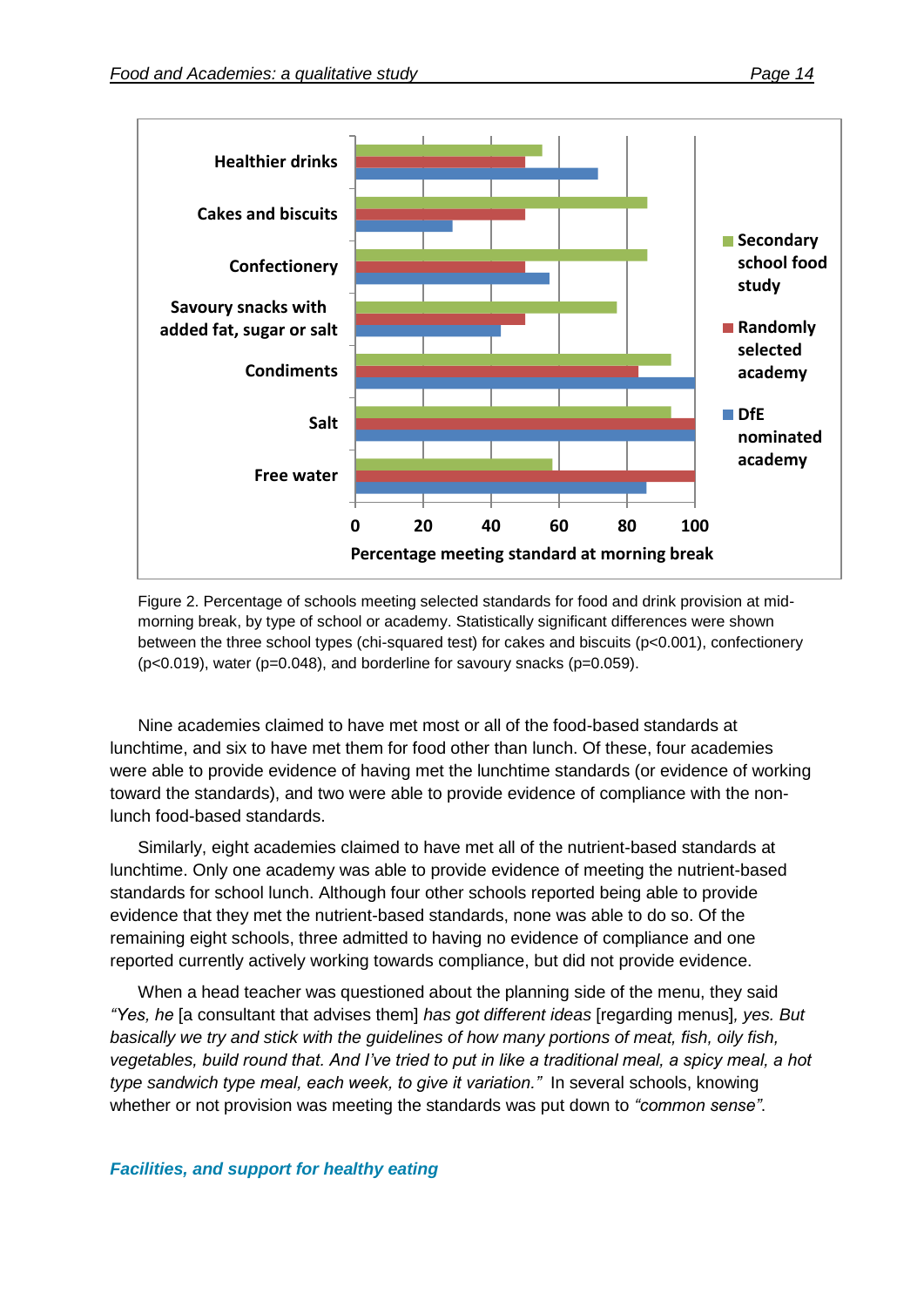

Figure 2. Percentage of schools meeting selected standards for food and drink provision at midmorning break, by type of school or academy. Statistically significant differences were shown between the three school types (chi-squared test) for cakes and biscuits (p<0.001), confectionery  $(p<0.019)$ , water (p=0.048), and borderline for savoury snacks (p=0.059).

Nine academies claimed to have met most or all of the food-based standards at lunchtime, and six to have met them for food other than lunch. Of these, four academies were able to provide evidence of having met the lunchtime standards (or evidence of working toward the standards), and two were able to provide evidence of compliance with the nonlunch food-based standards.

Similarly, eight academies claimed to have met all of the nutrient-based standards at lunchtime. Only one academy was able to provide evidence of meeting the nutrient-based standards for school lunch. Although four other schools reported being able to provide evidence that they met the nutrient-based standards, none was able to do so. Of the remaining eight schools, three admitted to having no evidence of compliance and one reported currently actively working towards compliance, but did not provide evidence.

When a head teacher was questioned about the planning side of the menu, they said *"Yes, he* [a consultant that advises them] *has got different ideas* [regarding menus]*, yes. But basically we try and stick with the guidelines of how many portions of meat, fish, oily fish, vegetables, build round that. And I've tried to put in like a traditional meal, a spicy meal, a hot type sandwich type meal, each week, to give it variation."* In several schools, knowing whether or not provision was meeting the standards was put down to *"common sense"*.

#### *Facilities, and support for healthy eating*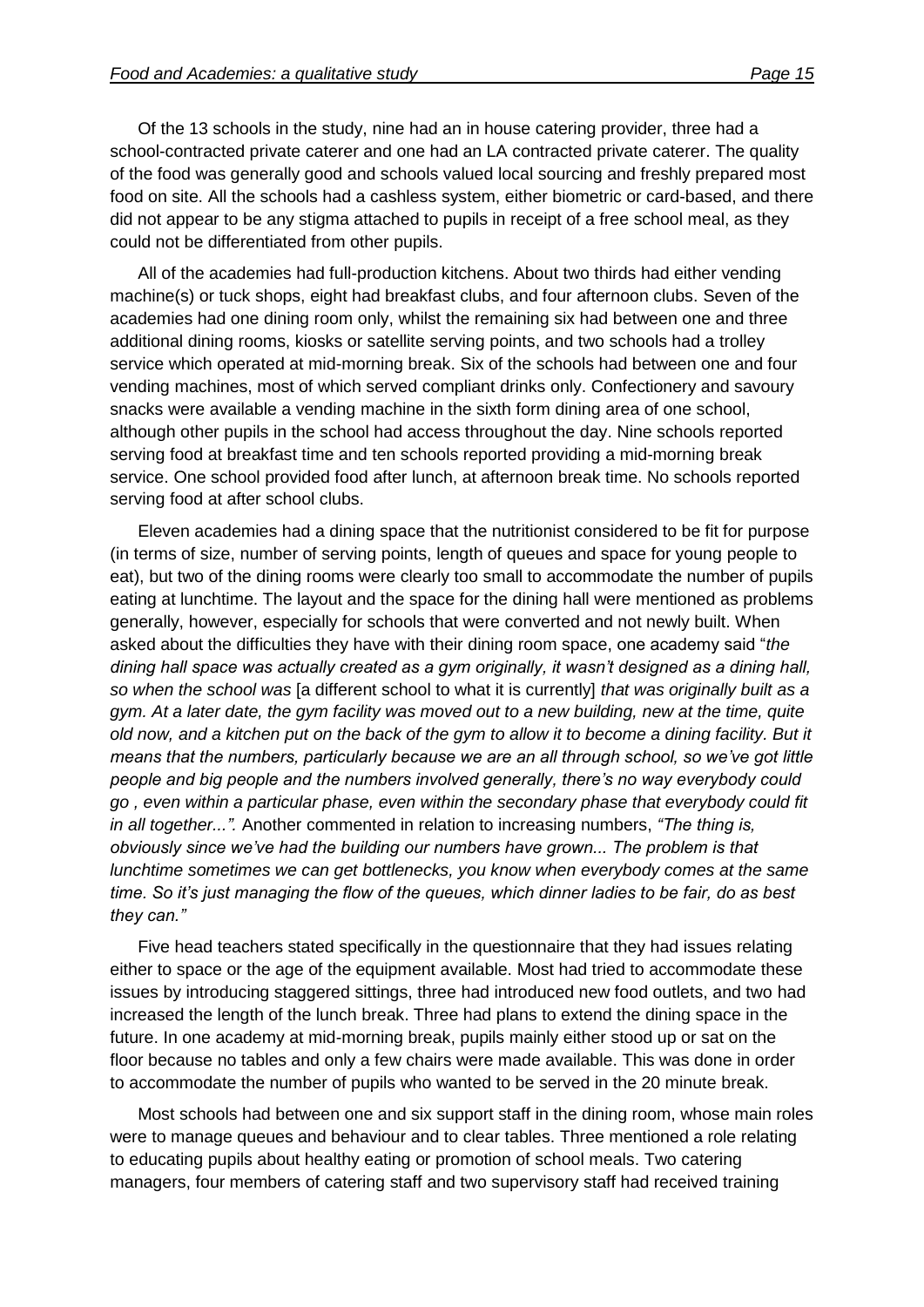Of the 13 schools in the study, nine had an in house catering provider, three had a school-contracted private caterer and one had an LA contracted private caterer. The quality of the food was generally good and schools valued local sourcing and freshly prepared most food on site. All the schools had a cashless system, either biometric or card-based, and there did not appear to be any stigma attached to pupils in receipt of a free school meal, as they could not be differentiated from other pupils.

All of the academies had full-production kitchens. About two thirds had either vending machine(s) or tuck shops, eight had breakfast clubs, and four afternoon clubs. Seven of the academies had one dining room only, whilst the remaining six had between one and three additional dining rooms, kiosks or satellite serving points, and two schools had a trolley service which operated at mid-morning break. Six of the schools had between one and four vending machines, most of which served compliant drinks only. Confectionery and savoury snacks were available a vending machine in the sixth form dining area of one school, although other pupils in the school had access throughout the day. Nine schools reported serving food at breakfast time and ten schools reported providing a mid-morning break service. One school provided food after lunch, at afternoon break time. No schools reported serving food at after school clubs.

Eleven academies had a dining space that the nutritionist considered to be fit for purpose (in terms of size, number of serving points, length of queues and space for young people to eat), but two of the dining rooms were clearly too small to accommodate the number of pupils eating at lunchtime. The layout and the space for the dining hall were mentioned as problems generally, however, especially for schools that were converted and not newly built. When asked about the difficulties they have with their dining room space, one academy said "*the dining hall space was actually created as a gym originally, it wasn't designed as a dining hall, so when the school was* [a different school to what it is currently] *that was originally built as a gym. At a later date, the gym facility was moved out to a new building, new at the time, quite old now, and a kitchen put on the back of the gym to allow it to become a dining facility. But it means that the numbers, particularly because we are an all through school, so we've got little people and big people and the numbers involved generally, there's no way everybody could go , even within a particular phase, even within the secondary phase that everybody could fit in all together...".* Another commented in relation to increasing numbers, *"The thing is, obviously since we've had the building our numbers have grown... The problem is that lunchtime sometimes we can get bottlenecks, you know when everybody comes at the same time. So it's just managing the flow of the queues, which dinner ladies to be fair, do as best they can."*

Five head teachers stated specifically in the questionnaire that they had issues relating either to space or the age of the equipment available. Most had tried to accommodate these issues by introducing staggered sittings, three had introduced new food outlets, and two had increased the length of the lunch break. Three had plans to extend the dining space in the future. In one academy at mid-morning break, pupils mainly either stood up or sat on the floor because no tables and only a few chairs were made available. This was done in order to accommodate the number of pupils who wanted to be served in the 20 minute break.

Most schools had between one and six support staff in the dining room, whose main roles were to manage queues and behaviour and to clear tables. Three mentioned a role relating to educating pupils about healthy eating or promotion of school meals. Two catering managers, four members of catering staff and two supervisory staff had received training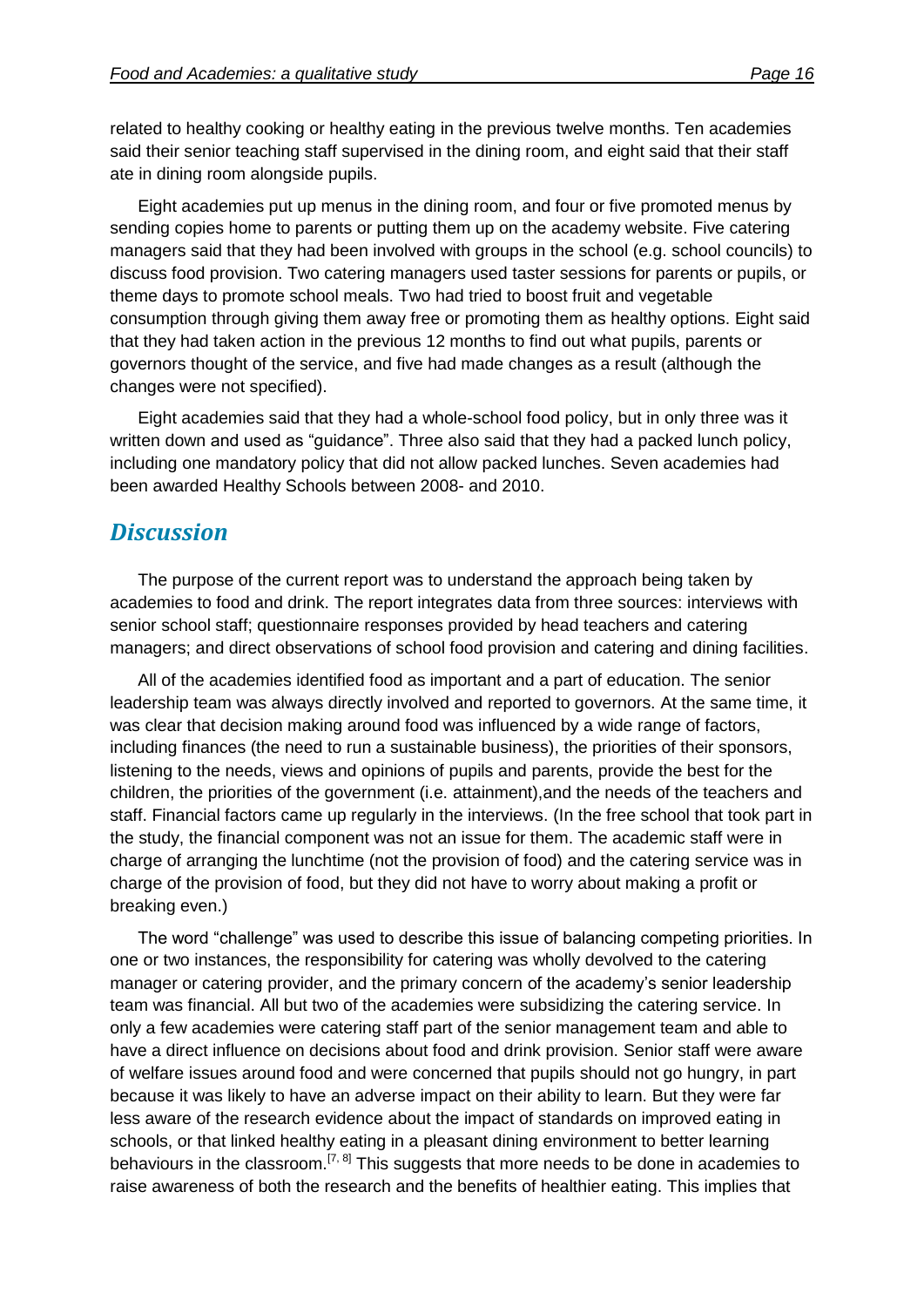related to healthy cooking or healthy eating in the previous twelve months. Ten academies said their senior teaching staff supervised in the dining room, and eight said that their staff ate in dining room alongside pupils.

Eight academies put up menus in the dining room, and four or five promoted menus by sending copies home to parents or putting them up on the academy website. Five catering managers said that they had been involved with groups in the school (e.g. school councils) to discuss food provision. Two catering managers used taster sessions for parents or pupils, or theme days to promote school meals. Two had tried to boost fruit and vegetable consumption through giving them away free or promoting them as healthy options. Eight said that they had taken action in the previous 12 months to find out what pupils, parents or governors thought of the service, and five had made changes as a result (although the changes were not specified).

Eight academies said that they had a whole-school food policy, but in only three was it written down and used as "guidance". Three also said that they had a packed lunch policy, including one mandatory policy that did not allow packed lunches. Seven academies had been awarded Healthy Schools between 2008- and 2010.

### *Discussion*

The purpose of the current report was to understand the approach being taken by academies to food and drink. The report integrates data from three sources: interviews with senior school staff; questionnaire responses provided by head teachers and catering managers; and direct observations of school food provision and catering and dining facilities.

All of the academies identified food as important and a part of education. The senior leadership team was always directly involved and reported to governors. At the same time, it was clear that decision making around food was influenced by a wide range of factors, including finances (the need to run a sustainable business), the priorities of their sponsors, listening to the needs, views and opinions of pupils and parents, provide the best for the children, the priorities of the government (i.e. attainment),and the needs of the teachers and staff. Financial factors came up regularly in the interviews. (In the free school that took part in the study, the financial component was not an issue for them. The academic staff were in charge of arranging the lunchtime (not the provision of food) and the catering service was in charge of the provision of food, but they did not have to worry about making a profit or breaking even.)

The word "challenge" was used to describe this issue of balancing competing priorities. In one or two instances, the responsibility for catering was wholly devolved to the catering manager or catering provider, and the primary concern of the academy's senior leadership team was financial. All but two of the academies were subsidizing the catering service. In only a few academies were catering staff part of the senior management team and able to have a direct influence on decisions about food and drink provision. Senior staff were aware of welfare issues around food and were concerned that pupils should not go hungry, in part because it was likely to have an adverse impact on their ability to learn. But they were far less aware of the research evidence about the impact of standards on improved eating in schools, or that linked healthy eating in a pleasant dining environment to better learning behaviours in the classroom.<sup>[7, 8]</sup> This suggests that more needs to be done in academies to raise awareness of both the research and the benefits of healthier eating. This implies that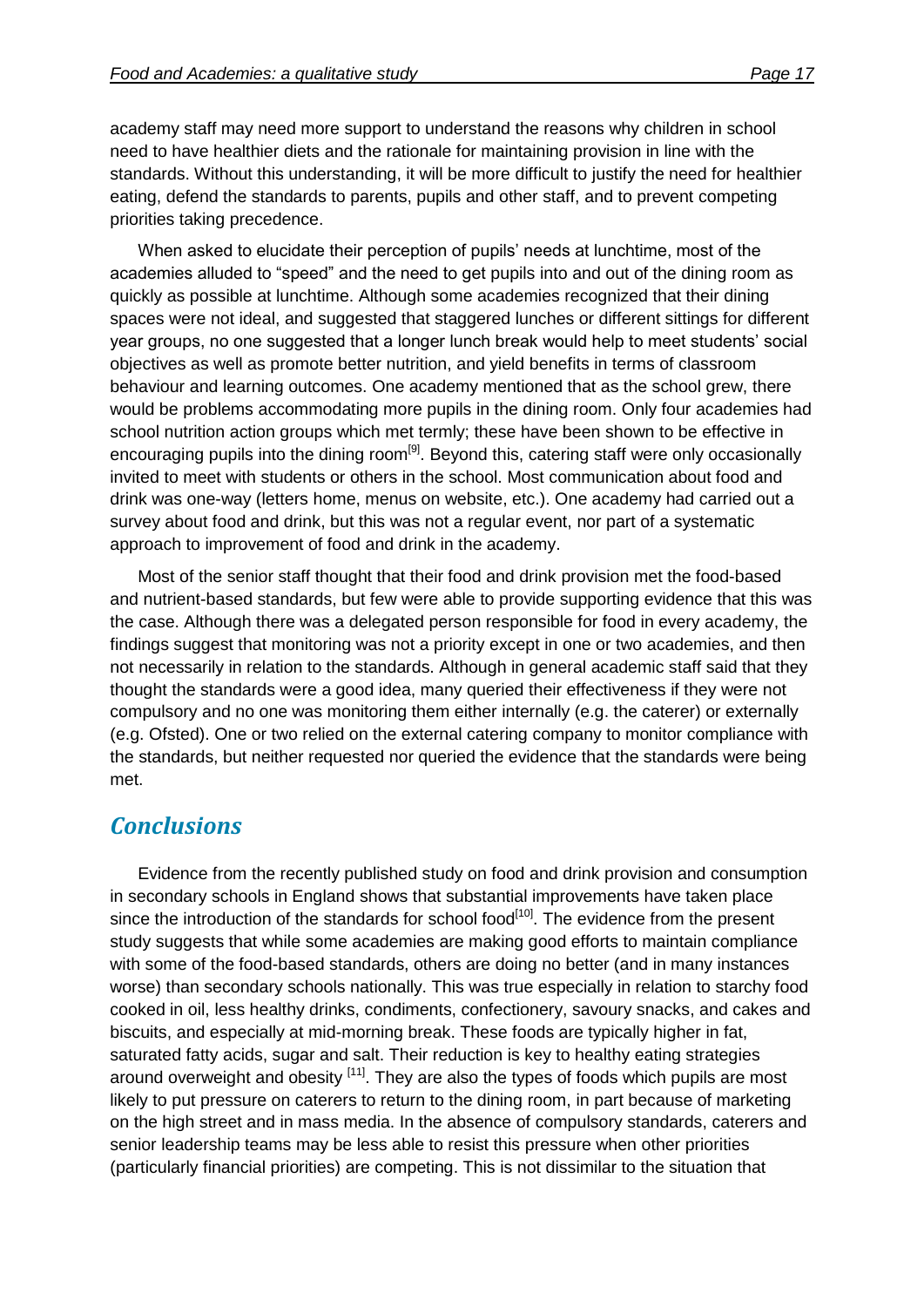academy staff may need more support to understand the reasons why children in school need to have healthier diets and the rationale for maintaining provision in line with the standards. Without this understanding, it will be more difficult to justify the need for healthier eating, defend the standards to parents, pupils and other staff, and to prevent competing priorities taking precedence.

When asked to elucidate their perception of pupils' needs at lunchtime, most of the academies alluded to "speed" and the need to get pupils into and out of the dining room as quickly as possible at lunchtime. Although some academies recognized that their dining spaces were not ideal, and suggested that staggered lunches or different sittings for different year groups, no one suggested that a longer lunch break would help to meet students' social objectives as well as promote better nutrition, and yield benefits in terms of classroom behaviour and learning outcomes. One academy mentioned that as the school grew, there would be problems accommodating more pupils in the dining room. Only four academies had school nutrition action groups which met termly; these have been shown to be effective in encouraging pupils into the dining room<sup>[9]</sup>. Beyond this, catering staff were only occasionally invited to meet with students or others in the school. Most communication about food and drink was one-way (letters home, menus on website, etc.). One academy had carried out a survey about food and drink, but this was not a regular event, nor part of a systematic approach to improvement of food and drink in the academy.

Most of the senior staff thought that their food and drink provision met the food-based and nutrient-based standards, but few were able to provide supporting evidence that this was the case. Although there was a delegated person responsible for food in every academy, the findings suggest that monitoring was not a priority except in one or two academies, and then not necessarily in relation to the standards. Although in general academic staff said that they thought the standards were a good idea, many queried their effectiveness if they were not compulsory and no one was monitoring them either internally (e.g. the caterer) or externally (e.g. Ofsted). One or two relied on the external catering company to monitor compliance with the standards, but neither requested nor queried the evidence that the standards were being met.

## *Conclusions*

Evidence from the recently published study on food and drink provision and consumption in secondary schools in England shows that substantial improvements have taken place since the introduction of the standards for school food<sup>[10]</sup>. The evidence from the present study suggests that while some academies are making good efforts to maintain compliance with some of the food-based standards, others are doing no better (and in many instances worse) than secondary schools nationally. This was true especially in relation to starchy food cooked in oil, less healthy drinks, condiments, confectionery, savoury snacks, and cakes and biscuits, and especially at mid-morning break. These foods are typically higher in fat, saturated fatty acids, sugar and salt. Their reduction is key to healthy eating strategies around overweight and obesity <sup>[11]</sup>. They are also the types of foods which pupils are most likely to put pressure on caterers to return to the dining room, in part because of marketing on the high street and in mass media. In the absence of compulsory standards, caterers and senior leadership teams may be less able to resist this pressure when other priorities (particularly financial priorities) are competing. This is not dissimilar to the situation that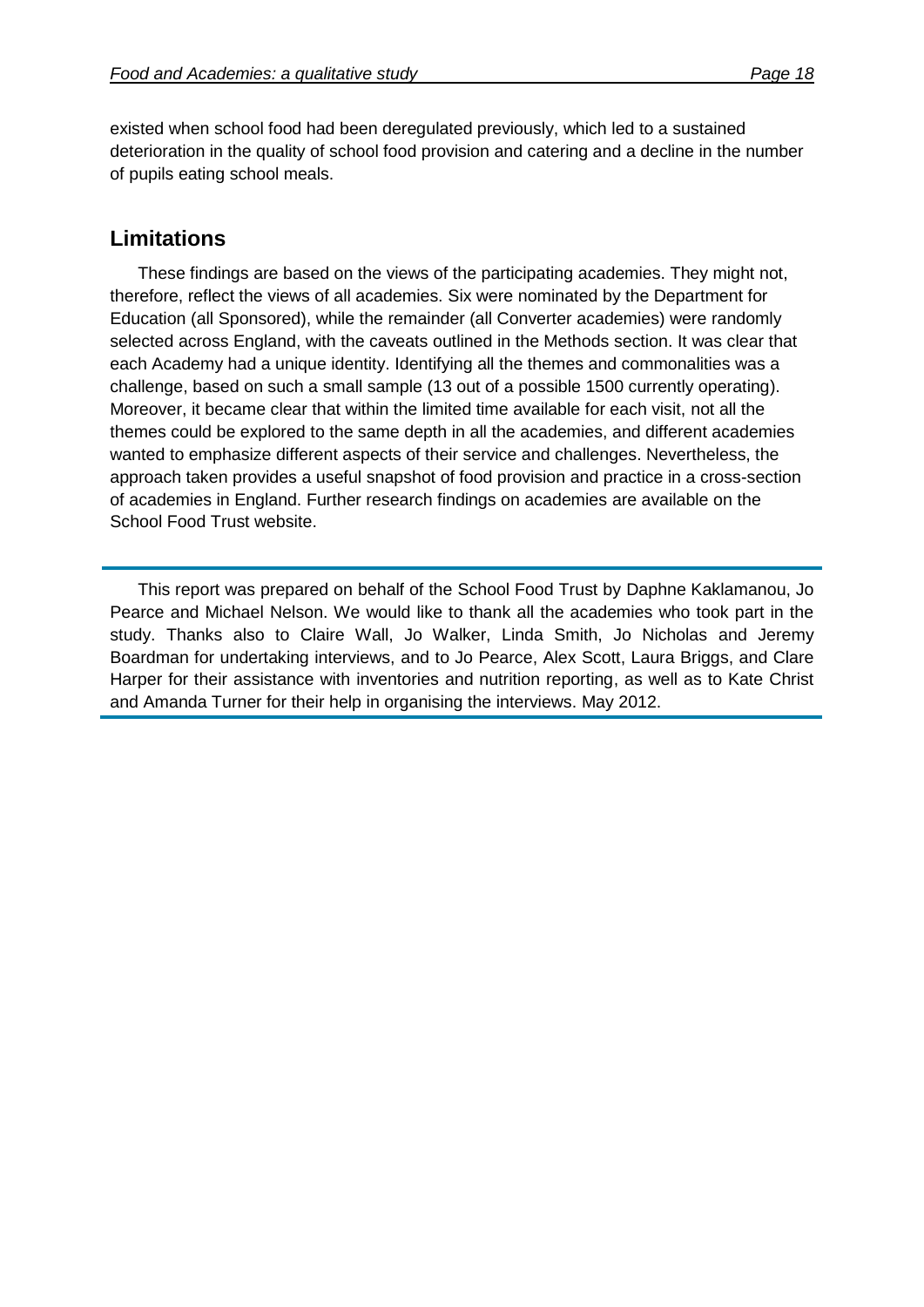existed when school food had been deregulated previously, which led to a sustained deterioration in the quality of school food provision and catering and a decline in the number of pupils eating school meals.

#### **Limitations**

These findings are based on the views of the participating academies. They might not, therefore, reflect the views of all academies. Six were nominated by the Department for Education (all Sponsored), while the remainder (all Converter academies) were randomly selected across England, with the caveats outlined in the Methods section. It was clear that each Academy had a unique identity. Identifying all the themes and commonalities was a challenge, based on such a small sample (13 out of a possible 1500 currently operating). Moreover, it became clear that within the limited time available for each visit, not all the themes could be explored to the same depth in all the academies, and different academies wanted to emphasize different aspects of their service and challenges. Nevertheless, the approach taken provides a useful snapshot of food provision and practice in a cross-section of academies in England. Further research findings on academies are available on the School Food Trust website.

This report was prepared on behalf of the School Food Trust by Daphne Kaklamanou, Jo Pearce and Michael Nelson. We would like to thank all the academies who took part in the study. Thanks also to Claire Wall, Jo Walker, Linda Smith, Jo Nicholas and Jeremy Boardman for undertaking interviews, and to Jo Pearce, Alex Scott, Laura Briggs, and Clare Harper for their assistance with inventories and nutrition reporting, as well as to Kate Christ and Amanda Turner for their help in organising the interviews. May 2012.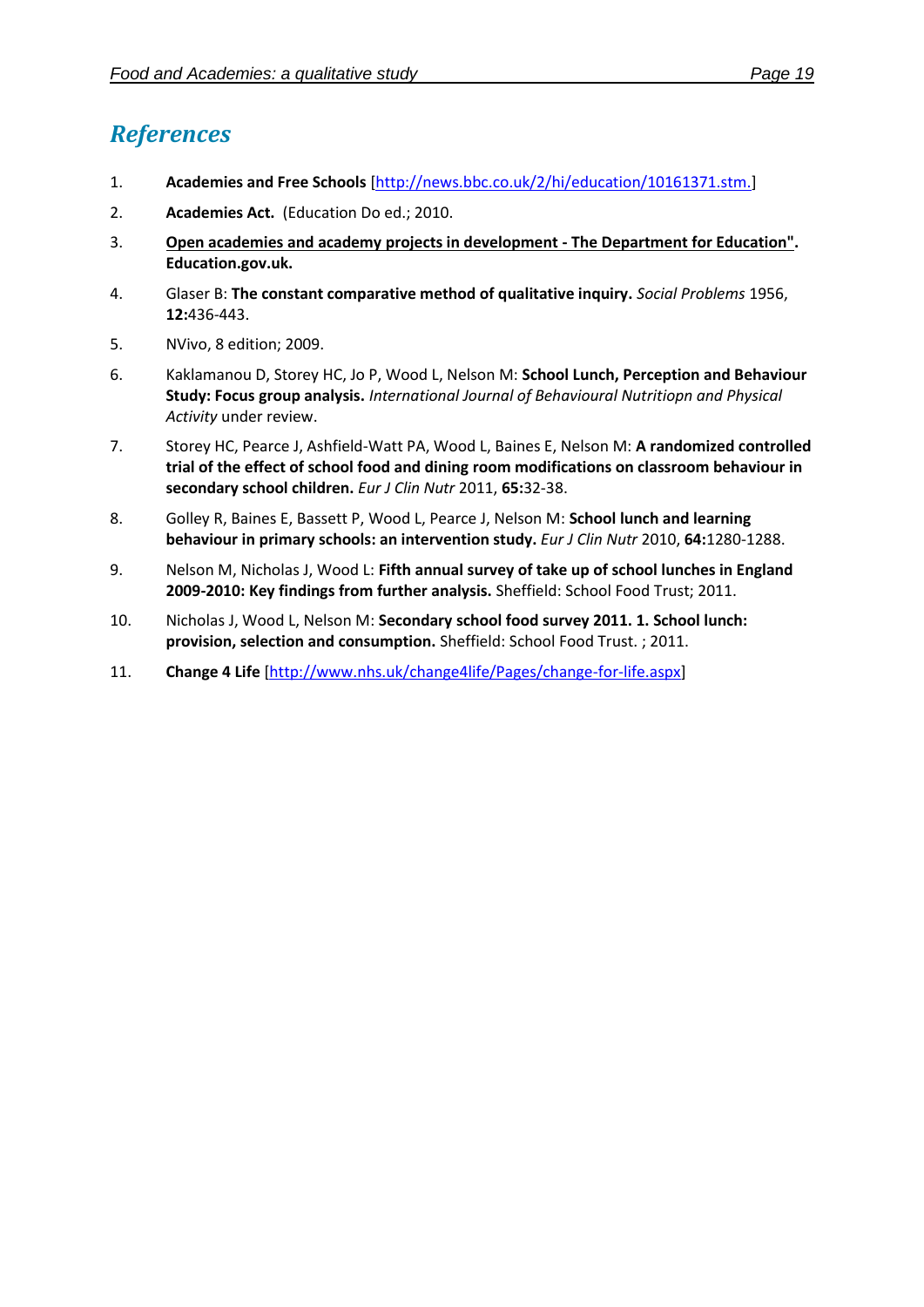## *References*

- 1. **Academies and Free Schools** [\[http://news.bbc.co.uk/2/hi/education/10161371.stm.\]](http://news.bbc.co.uk/2/hi/education/10161371.stm.)
- 2. **Academies Act.** (Education Do ed.; 2010.
- 3. **Open academies and academy projects in development - The Department for Education". Education.gov.uk.**
- 4. Glaser B: **The constant comparative method of qualitative inquiry.** *Social Problems* 1956, **12:**436-443.
- 5. NVivo, 8 edition; 2009.
- 6. Kaklamanou D, Storey HC, Jo P, Wood L, Nelson M: **School Lunch, Perception and Behaviour Study: Focus group analysis.** *International Journal of Behavioural Nutritiopn and Physical Activity* under review.
- 7. Storey HC, Pearce J, Ashfield-Watt PA, Wood L, Baines E, Nelson M: **A randomized controlled trial of the effect of school food and dining room modifications on classroom behaviour in secondary school children.** *Eur J Clin Nutr* 2011, **65:**32-38.
- 8. Golley R, Baines E, Bassett P, Wood L, Pearce J, Nelson M: **School lunch and learning behaviour in primary schools: an intervention study.** *Eur J Clin Nutr* 2010, **64:**1280-1288.
- 9. Nelson M, Nicholas J, Wood L: **Fifth annual survey of take up of school lunches in England 2009-2010: Key findings from further analysis.** Sheffield: School Food Trust; 2011.
- 10. Nicholas J, Wood L, Nelson M: **Secondary school food survey 2011. 1. School lunch: provision, selection and consumption.** Sheffield: School Food Trust. ; 2011.
- 11. **Change 4 Life** [\[http://www.nhs.uk/change4life/Pages/change-for-life.aspx\]](http://www.nhs.uk/change4life/Pages/change-for-life.aspx)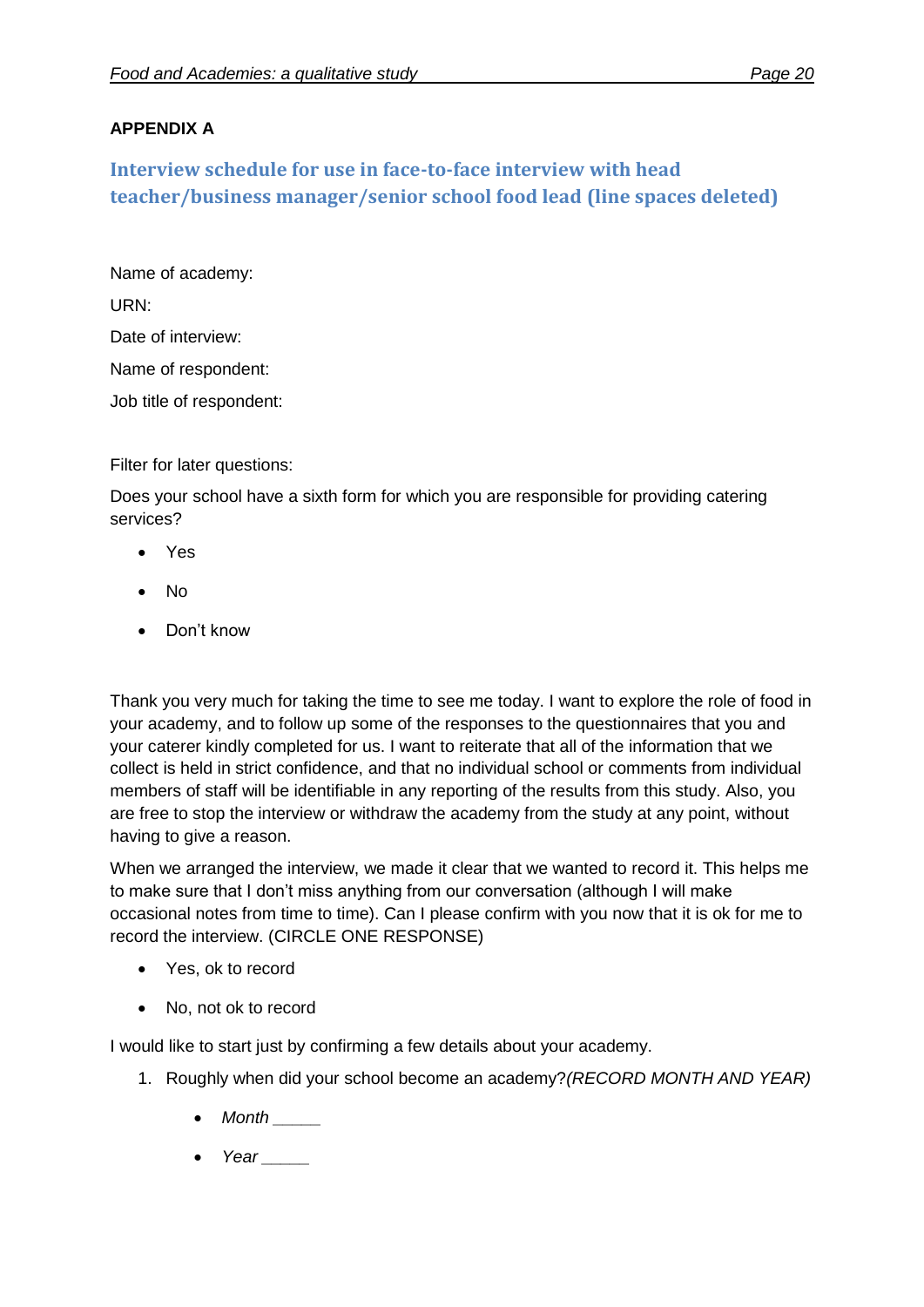#### **APPENDIX A**

**Interview schedule for use in face-to-face interview with head teacher/business manager/senior school food lead (line spaces deleted)**

Name of academy: URN: Date of interview: Name of respondent: Job title of respondent:

Filter for later questions:

Does your school have a sixth form for which you are responsible for providing catering services?

- Yes
- No
- Don't know

Thank you very much for taking the time to see me today. I want to explore the role of food in your academy, and to follow up some of the responses to the questionnaires that you and your caterer kindly completed for us. I want to reiterate that all of the information that we collect is held in strict confidence, and that no individual school or comments from individual members of staff will be identifiable in any reporting of the results from this study. Also, you are free to stop the interview or withdraw the academy from the study at any point, without having to give a reason.

When we arranged the interview, we made it clear that we wanted to record it. This helps me to make sure that I don't miss anything from our conversation (although I will make occasional notes from time to time). Can I please confirm with you now that it is ok for me to record the interview. (CIRCLE ONE RESPONSE)

- Yes, ok to record
- No, not ok to record

I would like to start just by confirming a few details about your academy.

- 1. Roughly when did your school become an academy?*(RECORD MONTH AND YEAR)*
	- *Month \_\_\_\_\_*
	- *Year \_\_\_\_\_*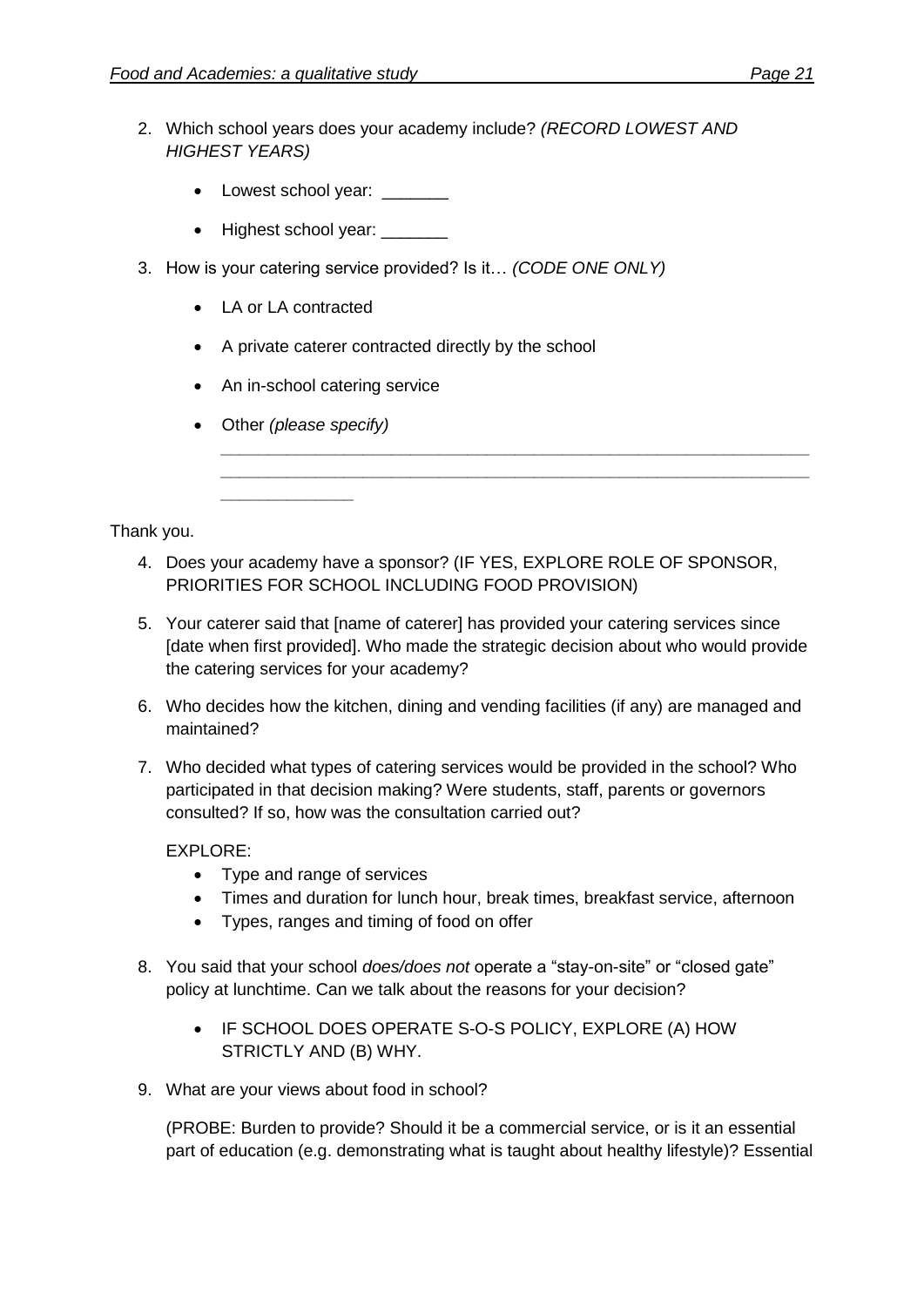- 2. Which school years does your academy include? *(RECORD LOWEST AND HIGHEST YEARS)*
	- Lowest school year:
	- Highest school year:
- 3. How is your catering service provided? Is it… *(CODE ONE ONLY)*
	- LA or LA contracted
	- A private caterer contracted directly by the school
	- An in-school catering service
	- Other *(please specify)*

*\_\_\_\_\_\_\_\_\_\_\_\_\_\_*

Thank you.

- 4. Does your academy have a sponsor? (IF YES, EXPLORE ROLE OF SPONSOR, PRIORITIES FOR SCHOOL INCLUDING FOOD PROVISION)
- 5. Your caterer said that [name of caterer] has provided your catering services since [date when first provided]. Who made the strategic decision about who would provide the catering services for your academy?

*\_\_\_\_\_\_\_\_\_\_\_\_\_\_\_\_\_\_\_\_\_\_\_\_\_\_\_\_\_\_\_\_\_\_\_\_\_\_\_\_\_\_\_\_\_\_\_\_\_\_\_\_\_\_\_\_\_\_\_\_\_\_ \_\_\_\_\_\_\_\_\_\_\_\_\_\_\_\_\_\_\_\_\_\_\_\_\_\_\_\_\_\_\_\_\_\_\_\_\_\_\_\_\_\_\_\_\_\_\_\_\_\_\_\_\_\_\_\_\_\_\_\_\_\_*

- 6. Who decides how the kitchen, dining and vending facilities (if any) are managed and maintained?
- 7. Who decided what types of catering services would be provided in the school? Who participated in that decision making? Were students, staff, parents or governors consulted? If so, how was the consultation carried out?

EXPLORE:

- Type and range of services
- Times and duration for lunch hour, break times, breakfast service, afternoon
- Types, ranges and timing of food on offer
- 8. You said that your school *does/does not* operate a "stay-on-site" or "closed gate" policy at lunchtime. Can we talk about the reasons for your decision?
	- IF SCHOOL DOES OPERATE S-O-S POLICY, EXPLORE (A) HOW STRICTLY AND (B) WHY.
- 9. What are your views about food in school?

(PROBE: Burden to provide? Should it be a commercial service, or is it an essential part of education (e.g. demonstrating what is taught about healthy lifestyle)? Essential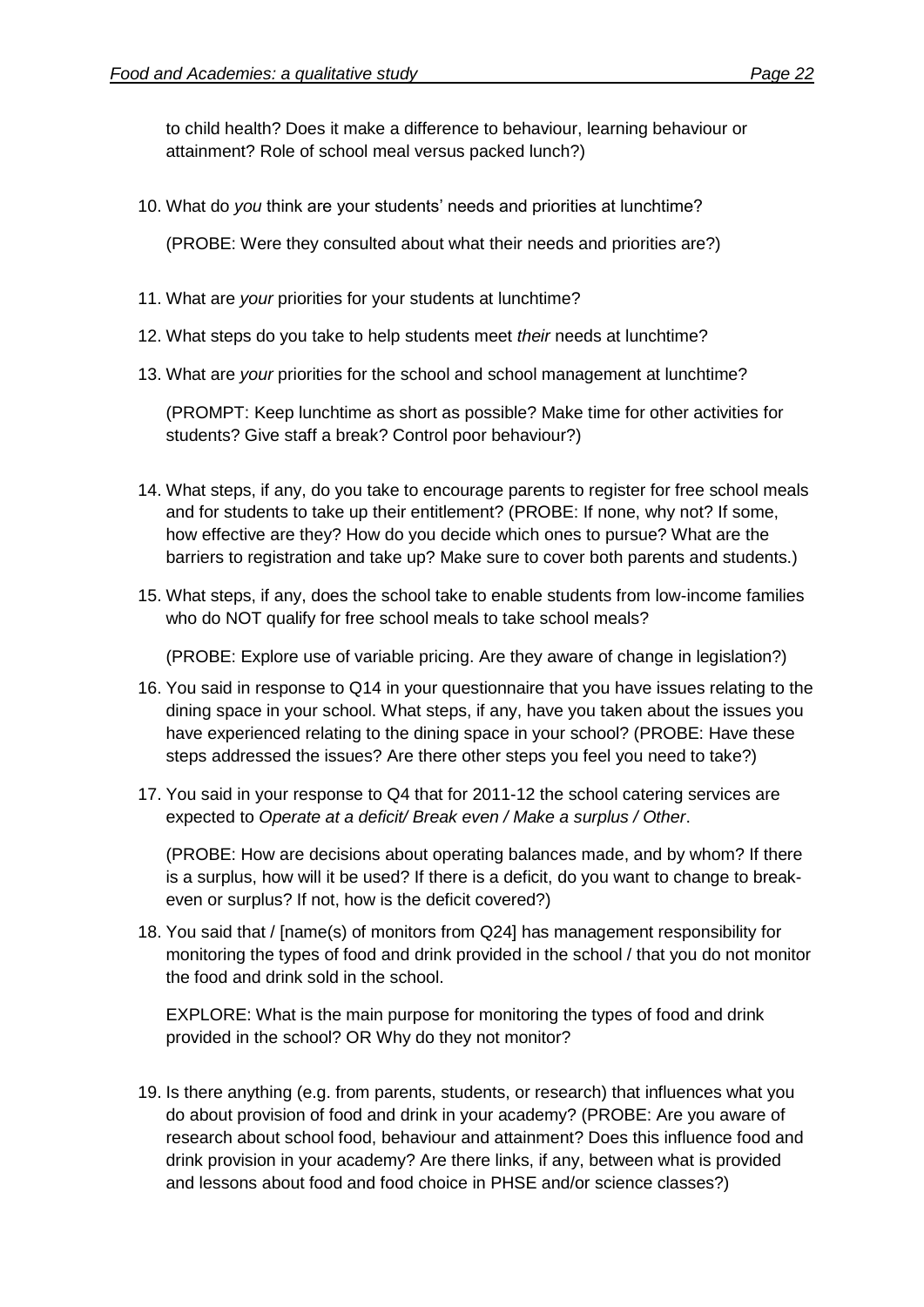to child health? Does it make a difference to behaviour, learning behaviour or attainment? Role of school meal versus packed lunch?)

10. What do *you* think are your students' needs and priorities at lunchtime?

(PROBE: Were they consulted about what their needs and priorities are?)

- 11. What are *your* priorities for your students at lunchtime?
- 12. What steps do you take to help students meet *their* needs at lunchtime?
- 13. What are *your* priorities for the school and school management at lunchtime?

(PROMPT: Keep lunchtime as short as possible? Make time for other activities for students? Give staff a break? Control poor behaviour?)

- 14. What steps, if any, do you take to encourage parents to register for free school meals and for students to take up their entitlement? (PROBE: If none, why not? If some, how effective are they? How do you decide which ones to pursue? What are the barriers to registration and take up? Make sure to cover both parents and students.)
- 15. What steps, if any, does the school take to enable students from low-income families who do NOT qualify for free school meals to take school meals?

(PROBE: Explore use of variable pricing. Are they aware of change in legislation?)

- 16. You said in response to Q14 in your questionnaire that you have issues relating to the dining space in your school. What steps, if any, have you taken about the issues you have experienced relating to the dining space in your school? (PROBE: Have these steps addressed the issues? Are there other steps you feel you need to take?)
- 17. You said in your response to Q4 that for 2011-12 the school catering services are expected to *Operate at a deficit/ Break even / Make a surplus / Other*.

(PROBE: How are decisions about operating balances made, and by whom? If there is a surplus, how will it be used? If there is a deficit, do you want to change to breakeven or surplus? If not, how is the deficit covered?)

18. You said that / [name(s) of monitors from Q24] has management responsibility for monitoring the types of food and drink provided in the school / that you do not monitor the food and drink sold in the school.

EXPLORE: What is the main purpose for monitoring the types of food and drink provided in the school? OR Why do they not monitor?

19. Is there anything (e.g. from parents, students, or research) that influences what you do about provision of food and drink in your academy? (PROBE: Are you aware of research about school food, behaviour and attainment? Does this influence food and drink provision in your academy? Are there links, if any, between what is provided and lessons about food and food choice in PHSE and/or science classes?)